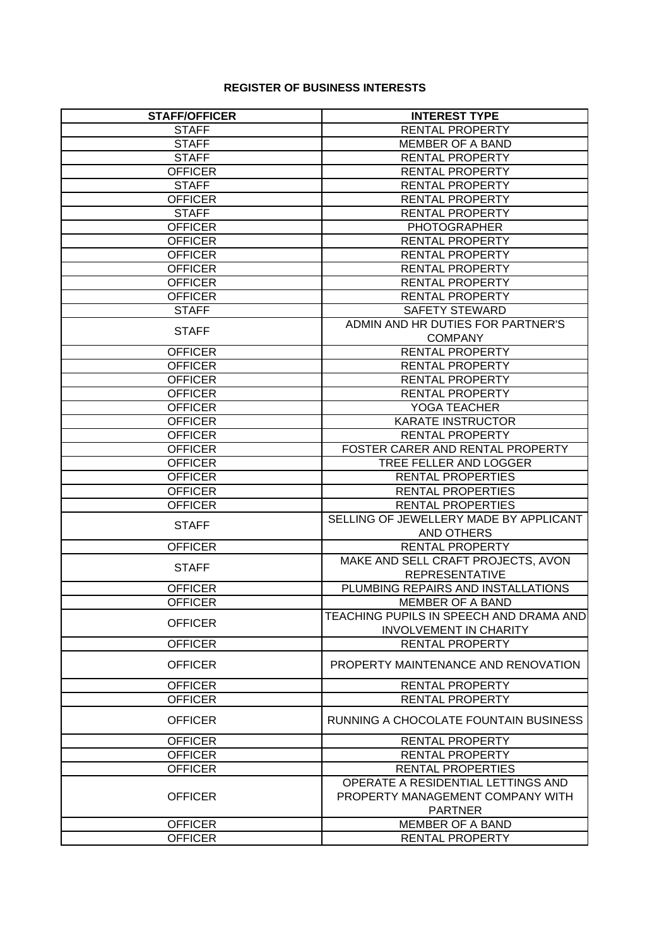## **REGISTER OF BUSINESS INTERESTS**

| <b>STAFF/OFFICER</b> | <b>INTEREST TYPE</b>                    |
|----------------------|-----------------------------------------|
| <b>STAFF</b>         | <b>RENTAL PROPERTY</b>                  |
| <b>STAFF</b>         | <b>MEMBER OF A BAND</b>                 |
| <b>STAFF</b>         | <b>RENTAL PROPERTY</b>                  |
| <b>OFFICER</b>       | <b>RENTAL PROPERTY</b>                  |
| <b>STAFF</b>         | <b>RENTAL PROPERTY</b>                  |
| <b>OFFICER</b>       | <b>RENTAL PROPERTY</b>                  |
| <b>STAFF</b>         | <b>RENTAL PROPERTY</b>                  |
| <b>OFFICER</b>       | <b>PHOTOGRAPHER</b>                     |
| <b>OFFICER</b>       | <b>RENTAL PROPERTY</b>                  |
| <b>OFFICER</b>       | RENTAL PROPERTY                         |
| <b>OFFICER</b>       | <b>RENTAL PROPERTY</b>                  |
| <b>OFFICER</b>       | <b>RENTAL PROPERTY</b>                  |
| <b>OFFICER</b>       | <b>RENTAL PROPERTY</b>                  |
| <b>STAFF</b>         | <b>SAFETY STEWARD</b>                   |
|                      | ADMIN AND HR DUTIES FOR PARTNER'S       |
| <b>STAFF</b>         | <b>COMPANY</b>                          |
| <b>OFFICER</b>       | <b>RENTAL PROPERTY</b>                  |
| <b>OFFICER</b>       | RENTAL PROPERTY                         |
| <b>OFFICER</b>       | RENTAL PROPERTY                         |
| <b>OFFICER</b>       | <b>RENTAL PROPERTY</b>                  |
| <b>OFFICER</b>       | YOGA TEACHER                            |
| <b>OFFICER</b>       | <b>KARATE INSTRUCTOR</b>                |
| <b>OFFICER</b>       | <b>RENTAL PROPERTY</b>                  |
| <b>OFFICER</b>       | FOSTER CARER AND RENTAL PROPERTY        |
| <b>OFFICER</b>       | TREE FELLER AND LOGGER                  |
| <b>OFFICER</b>       | <b>RENTAL PROPERTIES</b>                |
| <b>OFFICER</b>       | RENTAL PROPERTIES                       |
| <b>OFFICER</b>       | <b>RENTAL PROPERTIES</b>                |
|                      | SELLING OF JEWELLERY MADE BY APPLICANT  |
| <b>STAFF</b>         | AND OTHERS                              |
| <b>OFFICER</b>       | RENTAL PROPERTY                         |
|                      | MAKE AND SELL CRAFT PROJECTS, AVON      |
| <b>STAFF</b>         | <b>REPRESENTATIVE</b>                   |
| <b>OFFICER</b>       | PLUMBING REPAIRS AND INSTALLATIONS      |
| <b>OFFICER</b>       | <b>MEMBER OF A BAND</b>                 |
|                      | TEACHING PUPILS IN SPEECH AND DRAMA AND |
| <b>OFFICER</b>       | <b>INVOLVEMENT IN CHARITY</b>           |
| <b>OFFICER</b>       | <b>RENTAL PROPERTY</b>                  |
| <b>OFFICER</b>       | PROPERTY MAINTENANCE AND RENOVATION     |
| <b>OFFICER</b>       | RENTAL PROPERTY                         |
| <b>OFFICER</b>       | <b>RENTAL PROPERTY</b>                  |
| <b>OFFICER</b>       | RUNNING A CHOCOLATE FOUNTAIN BUSINESS   |
| <b>OFFICER</b>       | RENTAL PROPERTY                         |
| <b>OFFICER</b>       | <b>RENTAL PROPERTY</b>                  |
| <b>OFFICER</b>       | RENTAL PROPERTIES                       |
|                      | OPERATE A RESIDENTIAL LETTINGS AND      |
| <b>OFFICER</b>       | PROPERTY MANAGEMENT COMPANY WITH        |
|                      | <b>PARTNER</b>                          |
| <b>OFFICER</b>       | MEMBER OF A BAND                        |
| <b>OFFICER</b>       | RENTAL PROPERTY                         |
|                      |                                         |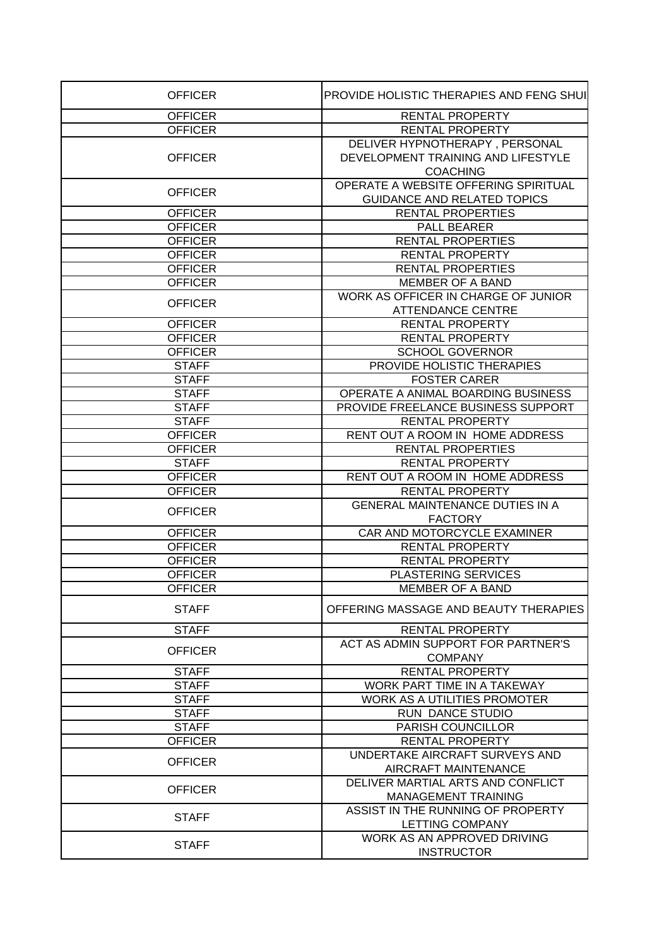| <b>OFFICER</b> | PROVIDE HOLISTIC THERAPIES AND FENG SHUI               |
|----------------|--------------------------------------------------------|
| <b>OFFICER</b> | <b>RENTAL PROPERTY</b>                                 |
| <b>OFFICER</b> | RENTAL PROPERTY                                        |
|                | DELIVER HYPNOTHERAPY, PERSONAL                         |
| <b>OFFICER</b> | DEVELOPMENT TRAINING AND LIFESTYLE                     |
|                | <b>COACHING</b>                                        |
|                | OPERATE A WEBSITE OFFERING SPIRITUAL                   |
| <b>OFFICER</b> | <b>GUIDANCE AND RELATED TOPICS</b>                     |
| <b>OFFICER</b> | <b>RENTAL PROPERTIES</b>                               |
| <b>OFFICER</b> | <b>PALL BEARER</b>                                     |
| <b>OFFICER</b> | <b>RENTAL PROPERTIES</b>                               |
| <b>OFFICER</b> | <b>RENTAL PROPERTY</b>                                 |
| <b>OFFICER</b> | <b>RENTAL PROPERTIES</b>                               |
| <b>OFFICER</b> | <b>MEMBER OF A BAND</b>                                |
|                | WORK AS OFFICER IN CHARGE OF JUNIOR                    |
| <b>OFFICER</b> | <b>ATTENDANCE CENTRE</b>                               |
| <b>OFFICER</b> | <b>RENTAL PROPERTY</b>                                 |
| <b>OFFICER</b> | <b>RENTAL PROPERTY</b>                                 |
| <b>OFFICER</b> | <b>SCHOOL GOVERNOR</b>                                 |
| <b>STAFF</b>   | PROVIDE HOLISTIC THERAPIES                             |
| <b>STAFF</b>   | <b>FOSTER CARER</b>                                    |
| <b>STAFF</b>   | OPERATE A ANIMAL BOARDING BUSINESS                     |
| <b>STAFF</b>   | PROVIDE FREELANCE BUSINESS SUPPORT                     |
| <b>STAFF</b>   | <b>RENTAL PROPERTY</b>                                 |
| <b>OFFICER</b> | RENT OUT A ROOM IN HOME ADDRESS                        |
| <b>OFFICER</b> | <b>RENTAL PROPERTIES</b>                               |
| <b>STAFF</b>   | <b>RENTAL PROPERTY</b>                                 |
| <b>OFFICER</b> | RENT OUT A ROOM IN HOME ADDRESS                        |
| <b>OFFICER</b> | <b>RENTAL PROPERTY</b>                                 |
|                | <b>GENERAL MAINTENANCE DUTIES IN A</b>                 |
| <b>OFFICER</b> | <b>FACTORY</b>                                         |
| <b>OFFICER</b> | CAR AND MOTORCYCLE EXAMINER                            |
| <b>OFFICER</b> | RENTAL PROPERTY                                        |
| <b>OFFICER</b> | <b>RENTAL PROPERTY</b>                                 |
| <b>OFFICER</b> | <b>PLASTERING SERVICES</b>                             |
| <b>OFFICER</b> | <b>MEMBER OF A BAND</b>                                |
|                |                                                        |
| <b>STAFF</b>   | OFFERING MASSAGE AND BEAUTY THERAPIES                  |
| <b>STAFF</b>   | <b>RENTAL PROPERTY</b>                                 |
| <b>OFFICER</b> | ACT AS ADMIN SUPPORT FOR PARTNER'S                     |
|                | <b>COMPANY</b>                                         |
| <b>STAFF</b>   | <b>RENTAL PROPERTY</b>                                 |
| <b>STAFF</b>   | WORK PART TIME IN A TAKEWAY                            |
| <b>STAFF</b>   | <b>WORK AS A UTILITIES PROMOTER</b>                    |
| <b>STAFF</b>   | RUN DANCE STUDIO                                       |
| <b>STAFF</b>   | PARISH COUNCILLOR                                      |
| <b>OFFICER</b> | RENTAL PROPERTY                                        |
| <b>OFFICER</b> | UNDERTAKE AIRCRAFT SURVEYS AND<br>AIRCRAFT MAINTENANCE |
|                | DELIVER MARTIAL ARTS AND CONFLICT                      |
| <b>OFFICER</b> | <b>MANAGEMENT TRAINING</b>                             |
|                | ASSIST IN THE RUNNING OF PROPERTY                      |
| <b>STAFF</b>   | LETTING COMPANY                                        |
|                | WORK AS AN APPROVED DRIVING                            |
| <b>STAFF</b>   | <b>INSTRUCTOR</b>                                      |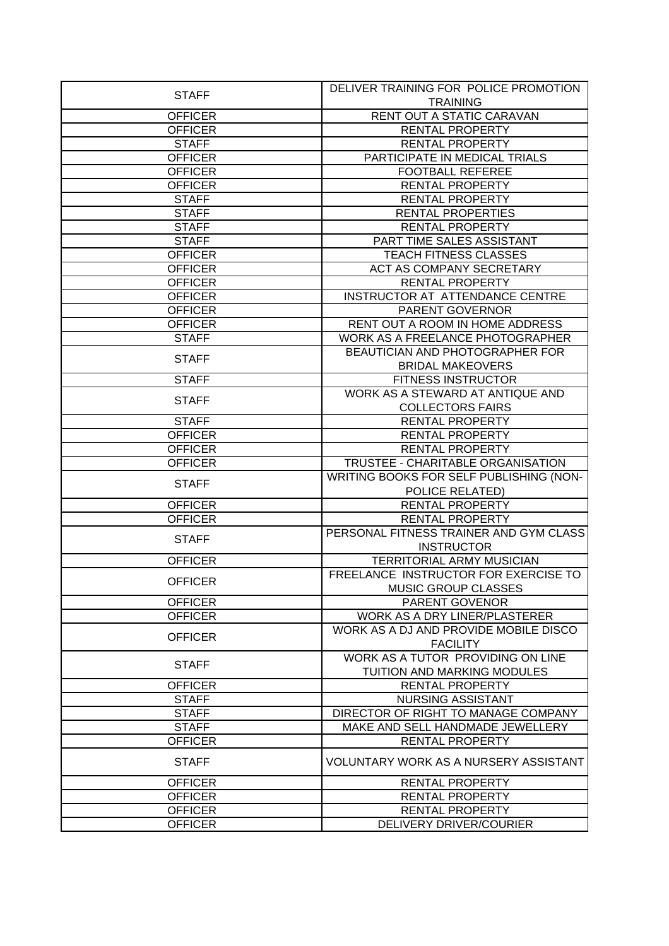|                | DELIVER TRAINING FOR POLICE PROMOTION   |
|----------------|-----------------------------------------|
| <b>STAFF</b>   | <b>TRAINING</b>                         |
| <b>OFFICER</b> | RENT OUT A STATIC CARAVAN               |
| <b>OFFICER</b> | <b>RENTAL PROPERTY</b>                  |
| <b>STAFF</b>   | <b>RENTAL PROPERTY</b>                  |
| <b>OFFICER</b> | PARTICIPATE IN MEDICAL TRIALS           |
| <b>OFFICER</b> | <b>FOOTBALL REFEREE</b>                 |
| <b>OFFICER</b> | <b>RENTAL PROPERTY</b>                  |
| <b>STAFF</b>   | <b>RENTAL PROPERTY</b>                  |
| <b>STAFF</b>   | <b>RENTAL PROPERTIES</b>                |
| <b>STAFF</b>   | <b>RENTAL PROPERTY</b>                  |
| <b>STAFF</b>   | PART TIME SALES ASSISTANT               |
| <b>OFFICER</b> | TEACH FITNESS CLASSES                   |
| <b>OFFICER</b> | ACT AS COMPANY SECRETARY                |
| <b>OFFICER</b> | <b>RENTAL PROPERTY</b>                  |
| <b>OFFICER</b> | INSTRUCTOR AT ATTENDANCE CENTRE         |
| <b>OFFICER</b> | PARENT GOVERNOR                         |
| <b>OFFICER</b> | RENT OUT A ROOM IN HOME ADDRESS         |
| <b>STAFF</b>   | WORK AS A FREELANCE PHOTOGRAPHER        |
|                | BEAUTICIAN AND PHOTOGRAPHER FOR         |
| <b>STAFF</b>   | <b>BRIDAL MAKEOVERS</b>                 |
| <b>STAFF</b>   | <b>FITNESS INSTRUCTOR</b>               |
|                | WORK AS A STEWARD AT ANTIQUE AND        |
| <b>STAFF</b>   | <b>COLLECTORS FAIRS</b>                 |
| <b>STAFF</b>   | <b>RENTAL PROPERTY</b>                  |
| <b>OFFICER</b> | <b>RENTAL PROPERTY</b>                  |
| <b>OFFICER</b> | <b>RENTAL PROPERTY</b>                  |
| <b>OFFICER</b> | TRUSTEE - CHARITABLE ORGANISATION       |
|                | WRITING BOOKS FOR SELF PUBLISHING (NON- |
| <b>STAFF</b>   | POLICE RELATED)                         |
| <b>OFFICER</b> | RENTAL PROPERTY                         |
| <b>OFFICER</b> | RENTAL PROPERTY                         |
|                | PERSONAL FITNESS TRAINER AND GYM CLASS  |
| <b>STAFF</b>   | <b>INSTRUCTOR</b>                       |
| <b>OFFICER</b> | <b>TERRITORIAL ARMY MUSICIAN</b>        |
|                | FREELANCE INSTRUCTOR FOR EXERCISE TO    |
| <b>OFFICER</b> | MUSIC GROUP CLASSES                     |
| <b>OFFICER</b> | PARENT GOVENOR                          |
| <b>OFFICER</b> | WORK AS A DRY LINER/PLASTERER           |
|                | WORK AS A DJ AND PROVIDE MOBILE DISCO   |
| <b>OFFICER</b> | <b>FACILITY</b>                         |
|                | WORK AS A TUTOR PROVIDING ON LINE       |
| <b>STAFF</b>   | TUITION AND MARKING MODULES             |
| <b>OFFICER</b> | <b>RENTAL PROPERTY</b>                  |
| <b>STAFF</b>   | <b>NURSING ASSISTANT</b>                |
| <b>STAFF</b>   | DIRECTOR OF RIGHT TO MANAGE COMPANY     |
| <b>STAFF</b>   | MAKE AND SELL HANDMADE JEWELLERY        |
| <b>OFFICER</b> | RENTAL PROPERTY                         |
|                |                                         |
| <b>STAFF</b>   | VOLUNTARY WORK AS A NURSERY ASSISTANT   |
| <b>OFFICER</b> | <b>RENTAL PROPERTY</b>                  |
| <b>OFFICER</b> | <b>RENTAL PROPERTY</b>                  |
| <b>OFFICER</b> | RENTAL PROPERTY                         |
| <b>OFFICER</b> | DELIVERY DRIVER/COURIER                 |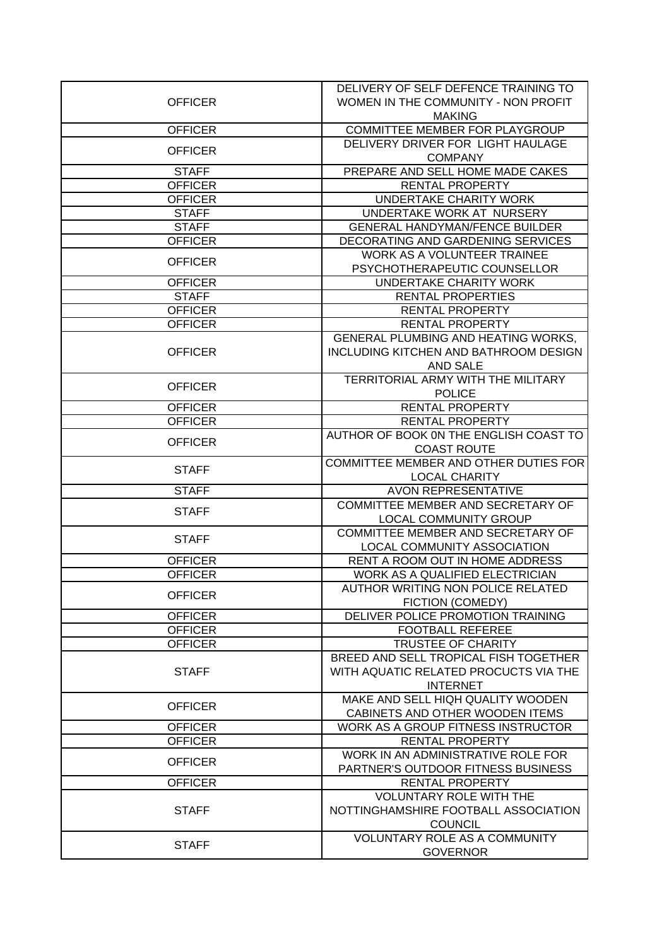| <b>OFFICER</b><br>WOMEN IN THE COMMUNITY - NON PROFIT<br><b>MAKING</b><br>COMMITTEE MEMBER FOR PLAYGROUP<br><b>OFFICER</b><br>DELIVERY DRIVER FOR LIGHT HAULAGE<br><b>OFFICER</b><br><b>COMPANY</b><br>PREPARE AND SELL HOME MADE CAKES<br><b>STAFF</b><br>RENTAL PROPERTY<br><b>OFFICER</b><br><b>UNDERTAKE CHARITY WORK</b><br><b>OFFICER</b><br>UNDERTAKE WORK AT NURSERY<br><b>STAFF</b><br><b>GENERAL HANDYMAN/FENCE BUILDER</b><br><b>STAFF</b><br><b>OFFICER</b><br>DECORATING AND GARDENING SERVICES<br>WORK AS A VOLUNTEER TRAINEE<br><b>OFFICER</b><br>PSYCHOTHERAPEUTIC COUNSELLOR<br>UNDERTAKE CHARITY WORK<br><b>OFFICER</b><br><b>STAFF</b><br><b>RENTAL PROPERTIES</b><br><b>OFFICER</b><br>RENTAL PROPERTY<br><b>OFFICER</b><br><b>RENTAL PROPERTY</b><br>GENERAL PLUMBING AND HEATING WORKS,<br>INCLUDING KITCHEN AND BATHROOM DESIGN<br><b>OFFICER</b><br>AND SALE<br>TERRITORIAL ARMY WITH THE MILITARY<br><b>OFFICER</b><br><b>POLICE</b><br><b>RENTAL PROPERTY</b><br><b>OFFICER</b><br><b>OFFICER</b><br>RENTAL PROPERTY<br>AUTHOR OF BOOK ON THE ENGLISH COAST TO<br><b>OFFICER</b><br><b>COAST ROUTE</b><br>COMMITTEE MEMBER AND OTHER DUTIES FOR<br><b>STAFF</b><br><b>LOCAL CHARITY</b><br><b>AVON REPRESENTATIVE</b><br><b>STAFF</b><br>COMMITTEE MEMBER AND SECRETARY OF<br><b>STAFF</b><br><b>LOCAL COMMUNITY GROUP</b><br>COMMITTEE MEMBER AND SECRETARY OF<br><b>STAFF</b><br><b>LOCAL COMMUNITY ASSOCIATION</b><br><b>OFFICER</b><br>RENT A ROOM OUT IN HOME ADDRESS<br><b>WORK AS A QUALIFIED ELECTRICIAN</b><br><b>OFFICER</b><br>AUTHOR WRITING NON POLICE RELATED<br><b>OFFICER</b><br>FICTION (COMEDY)<br>DELIVER POLICE PROMOTION TRAINING<br><b>OFFICER</b><br><b>FOOTBALL REFEREE</b><br><b>OFFICER</b><br><b>OFFICER</b><br>TRUSTEE OF CHARITY<br>BREED AND SELL TROPICAL FISH TOGETHER<br>WITH AQUATIC RELATED PROCUCTS VIA THE<br><b>STAFF</b><br><b>INTERNET</b><br>MAKE AND SELL HIQH QUALITY WOODEN<br><b>OFFICER</b><br>CABINETS AND OTHER WOODEN ITEMS<br><b>OFFICER</b><br>WORK AS A GROUP FITNESS INSTRUCTOR<br><b>OFFICER</b><br>RENTAL PROPERTY<br>WORK IN AN ADMINISTRATIVE ROLE FOR<br><b>OFFICER</b><br>PARTNER'S OUTDOOR FITNESS BUSINESS<br><b>OFFICER</b><br>RENTAL PROPERTY<br><b>VOLUNTARY ROLE WITH THE</b><br>NOTTINGHAMSHIRE FOOTBALL ASSOCIATION<br><b>STAFF</b><br><b>COUNCIL</b><br><b>VOLUNTARY ROLE AS A COMMUNITY</b><br><b>STAFF</b> |  | DELIVERY OF SELF DEFENCE TRAINING TO |
|------------------------------------------------------------------------------------------------------------------------------------------------------------------------------------------------------------------------------------------------------------------------------------------------------------------------------------------------------------------------------------------------------------------------------------------------------------------------------------------------------------------------------------------------------------------------------------------------------------------------------------------------------------------------------------------------------------------------------------------------------------------------------------------------------------------------------------------------------------------------------------------------------------------------------------------------------------------------------------------------------------------------------------------------------------------------------------------------------------------------------------------------------------------------------------------------------------------------------------------------------------------------------------------------------------------------------------------------------------------------------------------------------------------------------------------------------------------------------------------------------------------------------------------------------------------------------------------------------------------------------------------------------------------------------------------------------------------------------------------------------------------------------------------------------------------------------------------------------------------------------------------------------------------------------------------------------------------------------------------------------------------------------------------------------------------------------------------------------------------------------------------------------------------------------------------------------------------------------------------------------------------------------------------------------------------------------------------------------------------------------------------------------------|--|--------------------------------------|
|                                                                                                                                                                                                                                                                                                                                                                                                                                                                                                                                                                                                                                                                                                                                                                                                                                                                                                                                                                                                                                                                                                                                                                                                                                                                                                                                                                                                                                                                                                                                                                                                                                                                                                                                                                                                                                                                                                                                                                                                                                                                                                                                                                                                                                                                                                                                                                                                            |  |                                      |
|                                                                                                                                                                                                                                                                                                                                                                                                                                                                                                                                                                                                                                                                                                                                                                                                                                                                                                                                                                                                                                                                                                                                                                                                                                                                                                                                                                                                                                                                                                                                                                                                                                                                                                                                                                                                                                                                                                                                                                                                                                                                                                                                                                                                                                                                                                                                                                                                            |  |                                      |
|                                                                                                                                                                                                                                                                                                                                                                                                                                                                                                                                                                                                                                                                                                                                                                                                                                                                                                                                                                                                                                                                                                                                                                                                                                                                                                                                                                                                                                                                                                                                                                                                                                                                                                                                                                                                                                                                                                                                                                                                                                                                                                                                                                                                                                                                                                                                                                                                            |  |                                      |
|                                                                                                                                                                                                                                                                                                                                                                                                                                                                                                                                                                                                                                                                                                                                                                                                                                                                                                                                                                                                                                                                                                                                                                                                                                                                                                                                                                                                                                                                                                                                                                                                                                                                                                                                                                                                                                                                                                                                                                                                                                                                                                                                                                                                                                                                                                                                                                                                            |  |                                      |
|                                                                                                                                                                                                                                                                                                                                                                                                                                                                                                                                                                                                                                                                                                                                                                                                                                                                                                                                                                                                                                                                                                                                                                                                                                                                                                                                                                                                                                                                                                                                                                                                                                                                                                                                                                                                                                                                                                                                                                                                                                                                                                                                                                                                                                                                                                                                                                                                            |  |                                      |
|                                                                                                                                                                                                                                                                                                                                                                                                                                                                                                                                                                                                                                                                                                                                                                                                                                                                                                                                                                                                                                                                                                                                                                                                                                                                                                                                                                                                                                                                                                                                                                                                                                                                                                                                                                                                                                                                                                                                                                                                                                                                                                                                                                                                                                                                                                                                                                                                            |  |                                      |
|                                                                                                                                                                                                                                                                                                                                                                                                                                                                                                                                                                                                                                                                                                                                                                                                                                                                                                                                                                                                                                                                                                                                                                                                                                                                                                                                                                                                                                                                                                                                                                                                                                                                                                                                                                                                                                                                                                                                                                                                                                                                                                                                                                                                                                                                                                                                                                                                            |  |                                      |
|                                                                                                                                                                                                                                                                                                                                                                                                                                                                                                                                                                                                                                                                                                                                                                                                                                                                                                                                                                                                                                                                                                                                                                                                                                                                                                                                                                                                                                                                                                                                                                                                                                                                                                                                                                                                                                                                                                                                                                                                                                                                                                                                                                                                                                                                                                                                                                                                            |  |                                      |
|                                                                                                                                                                                                                                                                                                                                                                                                                                                                                                                                                                                                                                                                                                                                                                                                                                                                                                                                                                                                                                                                                                                                                                                                                                                                                                                                                                                                                                                                                                                                                                                                                                                                                                                                                                                                                                                                                                                                                                                                                                                                                                                                                                                                                                                                                                                                                                                                            |  |                                      |
|                                                                                                                                                                                                                                                                                                                                                                                                                                                                                                                                                                                                                                                                                                                                                                                                                                                                                                                                                                                                                                                                                                                                                                                                                                                                                                                                                                                                                                                                                                                                                                                                                                                                                                                                                                                                                                                                                                                                                                                                                                                                                                                                                                                                                                                                                                                                                                                                            |  |                                      |
|                                                                                                                                                                                                                                                                                                                                                                                                                                                                                                                                                                                                                                                                                                                                                                                                                                                                                                                                                                                                                                                                                                                                                                                                                                                                                                                                                                                                                                                                                                                                                                                                                                                                                                                                                                                                                                                                                                                                                                                                                                                                                                                                                                                                                                                                                                                                                                                                            |  |                                      |
|                                                                                                                                                                                                                                                                                                                                                                                                                                                                                                                                                                                                                                                                                                                                                                                                                                                                                                                                                                                                                                                                                                                                                                                                                                                                                                                                                                                                                                                                                                                                                                                                                                                                                                                                                                                                                                                                                                                                                                                                                                                                                                                                                                                                                                                                                                                                                                                                            |  |                                      |
|                                                                                                                                                                                                                                                                                                                                                                                                                                                                                                                                                                                                                                                                                                                                                                                                                                                                                                                                                                                                                                                                                                                                                                                                                                                                                                                                                                                                                                                                                                                                                                                                                                                                                                                                                                                                                                                                                                                                                                                                                                                                                                                                                                                                                                                                                                                                                                                                            |  |                                      |
|                                                                                                                                                                                                                                                                                                                                                                                                                                                                                                                                                                                                                                                                                                                                                                                                                                                                                                                                                                                                                                                                                                                                                                                                                                                                                                                                                                                                                                                                                                                                                                                                                                                                                                                                                                                                                                                                                                                                                                                                                                                                                                                                                                                                                                                                                                                                                                                                            |  |                                      |
|                                                                                                                                                                                                                                                                                                                                                                                                                                                                                                                                                                                                                                                                                                                                                                                                                                                                                                                                                                                                                                                                                                                                                                                                                                                                                                                                                                                                                                                                                                                                                                                                                                                                                                                                                                                                                                                                                                                                                                                                                                                                                                                                                                                                                                                                                                                                                                                                            |  |                                      |
|                                                                                                                                                                                                                                                                                                                                                                                                                                                                                                                                                                                                                                                                                                                                                                                                                                                                                                                                                                                                                                                                                                                                                                                                                                                                                                                                                                                                                                                                                                                                                                                                                                                                                                                                                                                                                                                                                                                                                                                                                                                                                                                                                                                                                                                                                                                                                                                                            |  |                                      |
|                                                                                                                                                                                                                                                                                                                                                                                                                                                                                                                                                                                                                                                                                                                                                                                                                                                                                                                                                                                                                                                                                                                                                                                                                                                                                                                                                                                                                                                                                                                                                                                                                                                                                                                                                                                                                                                                                                                                                                                                                                                                                                                                                                                                                                                                                                                                                                                                            |  |                                      |
|                                                                                                                                                                                                                                                                                                                                                                                                                                                                                                                                                                                                                                                                                                                                                                                                                                                                                                                                                                                                                                                                                                                                                                                                                                                                                                                                                                                                                                                                                                                                                                                                                                                                                                                                                                                                                                                                                                                                                                                                                                                                                                                                                                                                                                                                                                                                                                                                            |  |                                      |
|                                                                                                                                                                                                                                                                                                                                                                                                                                                                                                                                                                                                                                                                                                                                                                                                                                                                                                                                                                                                                                                                                                                                                                                                                                                                                                                                                                                                                                                                                                                                                                                                                                                                                                                                                                                                                                                                                                                                                                                                                                                                                                                                                                                                                                                                                                                                                                                                            |  |                                      |
|                                                                                                                                                                                                                                                                                                                                                                                                                                                                                                                                                                                                                                                                                                                                                                                                                                                                                                                                                                                                                                                                                                                                                                                                                                                                                                                                                                                                                                                                                                                                                                                                                                                                                                                                                                                                                                                                                                                                                                                                                                                                                                                                                                                                                                                                                                                                                                                                            |  |                                      |
|                                                                                                                                                                                                                                                                                                                                                                                                                                                                                                                                                                                                                                                                                                                                                                                                                                                                                                                                                                                                                                                                                                                                                                                                                                                                                                                                                                                                                                                                                                                                                                                                                                                                                                                                                                                                                                                                                                                                                                                                                                                                                                                                                                                                                                                                                                                                                                                                            |  |                                      |
|                                                                                                                                                                                                                                                                                                                                                                                                                                                                                                                                                                                                                                                                                                                                                                                                                                                                                                                                                                                                                                                                                                                                                                                                                                                                                                                                                                                                                                                                                                                                                                                                                                                                                                                                                                                                                                                                                                                                                                                                                                                                                                                                                                                                                                                                                                                                                                                                            |  |                                      |
|                                                                                                                                                                                                                                                                                                                                                                                                                                                                                                                                                                                                                                                                                                                                                                                                                                                                                                                                                                                                                                                                                                                                                                                                                                                                                                                                                                                                                                                                                                                                                                                                                                                                                                                                                                                                                                                                                                                                                                                                                                                                                                                                                                                                                                                                                                                                                                                                            |  |                                      |
|                                                                                                                                                                                                                                                                                                                                                                                                                                                                                                                                                                                                                                                                                                                                                                                                                                                                                                                                                                                                                                                                                                                                                                                                                                                                                                                                                                                                                                                                                                                                                                                                                                                                                                                                                                                                                                                                                                                                                                                                                                                                                                                                                                                                                                                                                                                                                                                                            |  |                                      |
|                                                                                                                                                                                                                                                                                                                                                                                                                                                                                                                                                                                                                                                                                                                                                                                                                                                                                                                                                                                                                                                                                                                                                                                                                                                                                                                                                                                                                                                                                                                                                                                                                                                                                                                                                                                                                                                                                                                                                                                                                                                                                                                                                                                                                                                                                                                                                                                                            |  |                                      |
|                                                                                                                                                                                                                                                                                                                                                                                                                                                                                                                                                                                                                                                                                                                                                                                                                                                                                                                                                                                                                                                                                                                                                                                                                                                                                                                                                                                                                                                                                                                                                                                                                                                                                                                                                                                                                                                                                                                                                                                                                                                                                                                                                                                                                                                                                                                                                                                                            |  |                                      |
|                                                                                                                                                                                                                                                                                                                                                                                                                                                                                                                                                                                                                                                                                                                                                                                                                                                                                                                                                                                                                                                                                                                                                                                                                                                                                                                                                                                                                                                                                                                                                                                                                                                                                                                                                                                                                                                                                                                                                                                                                                                                                                                                                                                                                                                                                                                                                                                                            |  |                                      |
|                                                                                                                                                                                                                                                                                                                                                                                                                                                                                                                                                                                                                                                                                                                                                                                                                                                                                                                                                                                                                                                                                                                                                                                                                                                                                                                                                                                                                                                                                                                                                                                                                                                                                                                                                                                                                                                                                                                                                                                                                                                                                                                                                                                                                                                                                                                                                                                                            |  |                                      |
|                                                                                                                                                                                                                                                                                                                                                                                                                                                                                                                                                                                                                                                                                                                                                                                                                                                                                                                                                                                                                                                                                                                                                                                                                                                                                                                                                                                                                                                                                                                                                                                                                                                                                                                                                                                                                                                                                                                                                                                                                                                                                                                                                                                                                                                                                                                                                                                                            |  |                                      |
|                                                                                                                                                                                                                                                                                                                                                                                                                                                                                                                                                                                                                                                                                                                                                                                                                                                                                                                                                                                                                                                                                                                                                                                                                                                                                                                                                                                                                                                                                                                                                                                                                                                                                                                                                                                                                                                                                                                                                                                                                                                                                                                                                                                                                                                                                                                                                                                                            |  |                                      |
|                                                                                                                                                                                                                                                                                                                                                                                                                                                                                                                                                                                                                                                                                                                                                                                                                                                                                                                                                                                                                                                                                                                                                                                                                                                                                                                                                                                                                                                                                                                                                                                                                                                                                                                                                                                                                                                                                                                                                                                                                                                                                                                                                                                                                                                                                                                                                                                                            |  |                                      |
|                                                                                                                                                                                                                                                                                                                                                                                                                                                                                                                                                                                                                                                                                                                                                                                                                                                                                                                                                                                                                                                                                                                                                                                                                                                                                                                                                                                                                                                                                                                                                                                                                                                                                                                                                                                                                                                                                                                                                                                                                                                                                                                                                                                                                                                                                                                                                                                                            |  |                                      |
|                                                                                                                                                                                                                                                                                                                                                                                                                                                                                                                                                                                                                                                                                                                                                                                                                                                                                                                                                                                                                                                                                                                                                                                                                                                                                                                                                                                                                                                                                                                                                                                                                                                                                                                                                                                                                                                                                                                                                                                                                                                                                                                                                                                                                                                                                                                                                                                                            |  |                                      |
|                                                                                                                                                                                                                                                                                                                                                                                                                                                                                                                                                                                                                                                                                                                                                                                                                                                                                                                                                                                                                                                                                                                                                                                                                                                                                                                                                                                                                                                                                                                                                                                                                                                                                                                                                                                                                                                                                                                                                                                                                                                                                                                                                                                                                                                                                                                                                                                                            |  |                                      |
|                                                                                                                                                                                                                                                                                                                                                                                                                                                                                                                                                                                                                                                                                                                                                                                                                                                                                                                                                                                                                                                                                                                                                                                                                                                                                                                                                                                                                                                                                                                                                                                                                                                                                                                                                                                                                                                                                                                                                                                                                                                                                                                                                                                                                                                                                                                                                                                                            |  |                                      |
|                                                                                                                                                                                                                                                                                                                                                                                                                                                                                                                                                                                                                                                                                                                                                                                                                                                                                                                                                                                                                                                                                                                                                                                                                                                                                                                                                                                                                                                                                                                                                                                                                                                                                                                                                                                                                                                                                                                                                                                                                                                                                                                                                                                                                                                                                                                                                                                                            |  |                                      |
|                                                                                                                                                                                                                                                                                                                                                                                                                                                                                                                                                                                                                                                                                                                                                                                                                                                                                                                                                                                                                                                                                                                                                                                                                                                                                                                                                                                                                                                                                                                                                                                                                                                                                                                                                                                                                                                                                                                                                                                                                                                                                                                                                                                                                                                                                                                                                                                                            |  |                                      |
|                                                                                                                                                                                                                                                                                                                                                                                                                                                                                                                                                                                                                                                                                                                                                                                                                                                                                                                                                                                                                                                                                                                                                                                                                                                                                                                                                                                                                                                                                                                                                                                                                                                                                                                                                                                                                                                                                                                                                                                                                                                                                                                                                                                                                                                                                                                                                                                                            |  |                                      |
|                                                                                                                                                                                                                                                                                                                                                                                                                                                                                                                                                                                                                                                                                                                                                                                                                                                                                                                                                                                                                                                                                                                                                                                                                                                                                                                                                                                                                                                                                                                                                                                                                                                                                                                                                                                                                                                                                                                                                                                                                                                                                                                                                                                                                                                                                                                                                                                                            |  |                                      |
|                                                                                                                                                                                                                                                                                                                                                                                                                                                                                                                                                                                                                                                                                                                                                                                                                                                                                                                                                                                                                                                                                                                                                                                                                                                                                                                                                                                                                                                                                                                                                                                                                                                                                                                                                                                                                                                                                                                                                                                                                                                                                                                                                                                                                                                                                                                                                                                                            |  |                                      |
|                                                                                                                                                                                                                                                                                                                                                                                                                                                                                                                                                                                                                                                                                                                                                                                                                                                                                                                                                                                                                                                                                                                                                                                                                                                                                                                                                                                                                                                                                                                                                                                                                                                                                                                                                                                                                                                                                                                                                                                                                                                                                                                                                                                                                                                                                                                                                                                                            |  |                                      |
|                                                                                                                                                                                                                                                                                                                                                                                                                                                                                                                                                                                                                                                                                                                                                                                                                                                                                                                                                                                                                                                                                                                                                                                                                                                                                                                                                                                                                                                                                                                                                                                                                                                                                                                                                                                                                                                                                                                                                                                                                                                                                                                                                                                                                                                                                                                                                                                                            |  |                                      |
|                                                                                                                                                                                                                                                                                                                                                                                                                                                                                                                                                                                                                                                                                                                                                                                                                                                                                                                                                                                                                                                                                                                                                                                                                                                                                                                                                                                                                                                                                                                                                                                                                                                                                                                                                                                                                                                                                                                                                                                                                                                                                                                                                                                                                                                                                                                                                                                                            |  |                                      |
|                                                                                                                                                                                                                                                                                                                                                                                                                                                                                                                                                                                                                                                                                                                                                                                                                                                                                                                                                                                                                                                                                                                                                                                                                                                                                                                                                                                                                                                                                                                                                                                                                                                                                                                                                                                                                                                                                                                                                                                                                                                                                                                                                                                                                                                                                                                                                                                                            |  |                                      |
|                                                                                                                                                                                                                                                                                                                                                                                                                                                                                                                                                                                                                                                                                                                                                                                                                                                                                                                                                                                                                                                                                                                                                                                                                                                                                                                                                                                                                                                                                                                                                                                                                                                                                                                                                                                                                                                                                                                                                                                                                                                                                                                                                                                                                                                                                                                                                                                                            |  |                                      |
|                                                                                                                                                                                                                                                                                                                                                                                                                                                                                                                                                                                                                                                                                                                                                                                                                                                                                                                                                                                                                                                                                                                                                                                                                                                                                                                                                                                                                                                                                                                                                                                                                                                                                                                                                                                                                                                                                                                                                                                                                                                                                                                                                                                                                                                                                                                                                                                                            |  |                                      |
|                                                                                                                                                                                                                                                                                                                                                                                                                                                                                                                                                                                                                                                                                                                                                                                                                                                                                                                                                                                                                                                                                                                                                                                                                                                                                                                                                                                                                                                                                                                                                                                                                                                                                                                                                                                                                                                                                                                                                                                                                                                                                                                                                                                                                                                                                                                                                                                                            |  |                                      |
|                                                                                                                                                                                                                                                                                                                                                                                                                                                                                                                                                                                                                                                                                                                                                                                                                                                                                                                                                                                                                                                                                                                                                                                                                                                                                                                                                                                                                                                                                                                                                                                                                                                                                                                                                                                                                                                                                                                                                                                                                                                                                                                                                                                                                                                                                                                                                                                                            |  |                                      |
|                                                                                                                                                                                                                                                                                                                                                                                                                                                                                                                                                                                                                                                                                                                                                                                                                                                                                                                                                                                                                                                                                                                                                                                                                                                                                                                                                                                                                                                                                                                                                                                                                                                                                                                                                                                                                                                                                                                                                                                                                                                                                                                                                                                                                                                                                                                                                                                                            |  |                                      |
|                                                                                                                                                                                                                                                                                                                                                                                                                                                                                                                                                                                                                                                                                                                                                                                                                                                                                                                                                                                                                                                                                                                                                                                                                                                                                                                                                                                                                                                                                                                                                                                                                                                                                                                                                                                                                                                                                                                                                                                                                                                                                                                                                                                                                                                                                                                                                                                                            |  |                                      |
|                                                                                                                                                                                                                                                                                                                                                                                                                                                                                                                                                                                                                                                                                                                                                                                                                                                                                                                                                                                                                                                                                                                                                                                                                                                                                                                                                                                                                                                                                                                                                                                                                                                                                                                                                                                                                                                                                                                                                                                                                                                                                                                                                                                                                                                                                                                                                                                                            |  |                                      |
|                                                                                                                                                                                                                                                                                                                                                                                                                                                                                                                                                                                                                                                                                                                                                                                                                                                                                                                                                                                                                                                                                                                                                                                                                                                                                                                                                                                                                                                                                                                                                                                                                                                                                                                                                                                                                                                                                                                                                                                                                                                                                                                                                                                                                                                                                                                                                                                                            |  |                                      |
|                                                                                                                                                                                                                                                                                                                                                                                                                                                                                                                                                                                                                                                                                                                                                                                                                                                                                                                                                                                                                                                                                                                                                                                                                                                                                                                                                                                                                                                                                                                                                                                                                                                                                                                                                                                                                                                                                                                                                                                                                                                                                                                                                                                                                                                                                                                                                                                                            |  |                                      |
|                                                                                                                                                                                                                                                                                                                                                                                                                                                                                                                                                                                                                                                                                                                                                                                                                                                                                                                                                                                                                                                                                                                                                                                                                                                                                                                                                                                                                                                                                                                                                                                                                                                                                                                                                                                                                                                                                                                                                                                                                                                                                                                                                                                                                                                                                                                                                                                                            |  |                                      |
|                                                                                                                                                                                                                                                                                                                                                                                                                                                                                                                                                                                                                                                                                                                                                                                                                                                                                                                                                                                                                                                                                                                                                                                                                                                                                                                                                                                                                                                                                                                                                                                                                                                                                                                                                                                                                                                                                                                                                                                                                                                                                                                                                                                                                                                                                                                                                                                                            |  | <b>GOVERNOR</b>                      |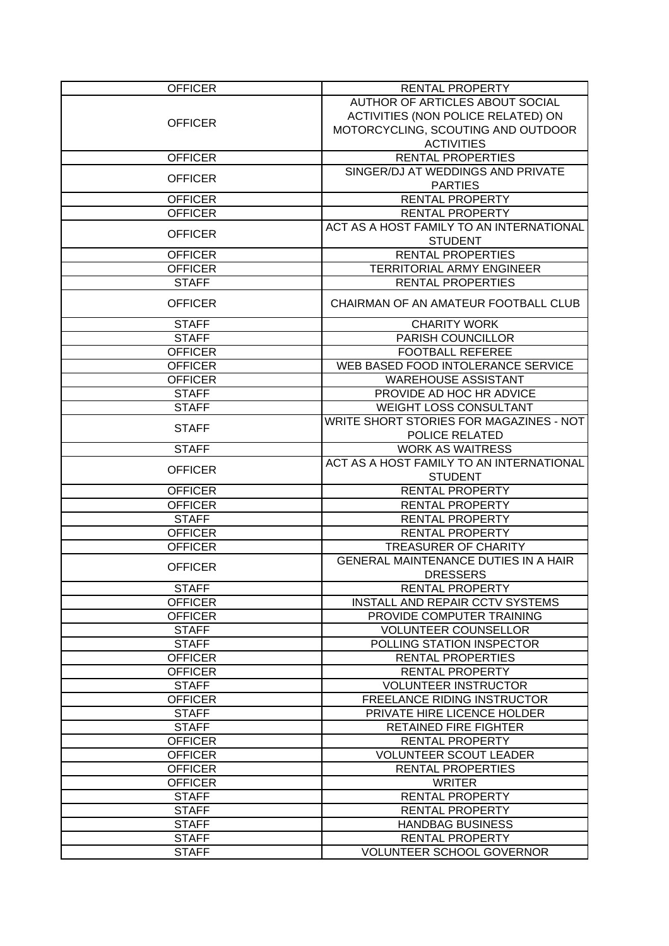| <b>OFFICER</b> | RENTAL PROPERTY                                                |
|----------------|----------------------------------------------------------------|
|                | AUTHOR OF ARTICLES ABOUT SOCIAL                                |
|                | ACTIVITIES (NON POLICE RELATED) ON                             |
| <b>OFFICER</b> | MOTORCYCLING, SCOUTING AND OUTDOOR                             |
|                | <b>ACTIVITIES</b>                                              |
| <b>OFFICER</b> | <b>RENTAL PROPERTIES</b>                                       |
|                | SINGER/DJ AT WEDDINGS AND PRIVATE                              |
| <b>OFFICER</b> | <b>PARTIES</b>                                                 |
| <b>OFFICER</b> | <b>RENTAL PROPERTY</b>                                         |
| <b>OFFICER</b> | <b>RENTAL PROPERTY</b>                                         |
|                | ACT AS A HOST FAMILY TO AN INTERNATIONAL                       |
| <b>OFFICER</b> | <b>STUDENT</b>                                                 |
| <b>OFFICER</b> | <b>RENTAL PROPERTIES</b>                                       |
| <b>OFFICER</b> | <b>TERRITORIAL ARMY ENGINEER</b>                               |
| <b>STAFF</b>   | RENTAL PROPERTIES                                              |
| <b>OFFICER</b> | CHAIRMAN OF AN AMATEUR FOOTBALL CLUB                           |
| <b>STAFF</b>   | <b>CHARITY WORK</b>                                            |
| <b>STAFF</b>   | PARISH COUNCILLOR                                              |
| <b>OFFICER</b> | <b>FOOTBALL REFEREE</b>                                        |
| <b>OFFICER</b> | WEB BASED FOOD INTOLERANCE SERVICE                             |
| <b>OFFICER</b> | <b>WAREHOUSE ASSISTANT</b>                                     |
| <b>STAFF</b>   | PROVIDE AD HOC HR ADVICE                                       |
| <b>STAFF</b>   | <b>WEIGHT LOSS CONSULTANT</b>                                  |
|                | WRITE SHORT STORIES FOR MAGAZINES - NOT                        |
| <b>STAFF</b>   | POLICE RELATED                                                 |
| <b>STAFF</b>   | <b>WORK AS WAITRESS</b>                                        |
|                | ACT AS A HOST FAMILY TO AN INTERNATIONAL                       |
| <b>OFFICER</b> | <b>STUDENT</b>                                                 |
| <b>OFFICER</b> | <b>RENTAL PROPERTY</b>                                         |
| <b>OFFICER</b> | RENTAL PROPERTY                                                |
| <b>STAFF</b>   | <b>RENTAL PROPERTY</b>                                         |
| <b>OFFICER</b> | <b>RENTAL PROPERTY</b>                                         |
| <b>OFFICER</b> | <b>TREASURER OF CHARITY</b>                                    |
| <b>OFFICER</b> | <b>GENERAL MAINTENANCE DUTIES IN A HAIR</b><br><b>DRESSERS</b> |
| <b>STAFF</b>   | <b>RENTAL PROPERTY</b>                                         |
| <b>OFFICER</b> | <b>INSTALL AND REPAIR CCTV SYSTEMS</b>                         |
| <b>OFFICER</b> | PROVIDE COMPUTER TRAINING                                      |
| <b>STAFF</b>   | <b>VOLUNTEER COUNSELLOR</b>                                    |
| <b>STAFF</b>   | POLLING STATION INSPECTOR                                      |
| <b>OFFICER</b> | <b>RENTAL PROPERTIES</b>                                       |
| <b>OFFICER</b> | <b>RENTAL PROPERTY</b>                                         |
| <b>STAFF</b>   | <b>VOLUNTEER INSTRUCTOR</b>                                    |
| <b>OFFICER</b> | FREELANCE RIDING INSTRUCTOR                                    |
| <b>STAFF</b>   | PRIVATE HIRE LICENCE HOLDER                                    |
| <b>STAFF</b>   | <b>RETAINED FIRE FIGHTER</b>                                   |
| <b>OFFICER</b> | RENTAL PROPERTY                                                |
| <b>OFFICER</b> | <b>VOLUNTEER SCOUT LEADER</b>                                  |
| <b>OFFICER</b> | <b>RENTAL PROPERTIES</b>                                       |
| <b>OFFICER</b> | <b>WRITER</b>                                                  |
| <b>STAFF</b>   | <b>RENTAL PROPERTY</b>                                         |
| <b>STAFF</b>   | <b>RENTAL PROPERTY</b>                                         |
| <b>STAFF</b>   | <b>HANDBAG BUSINESS</b>                                        |
| <b>STAFF</b>   | RENTAL PROPERTY                                                |
| <b>STAFF</b>   | <b>VOLUNTEER SCHOOL GOVERNOR</b>                               |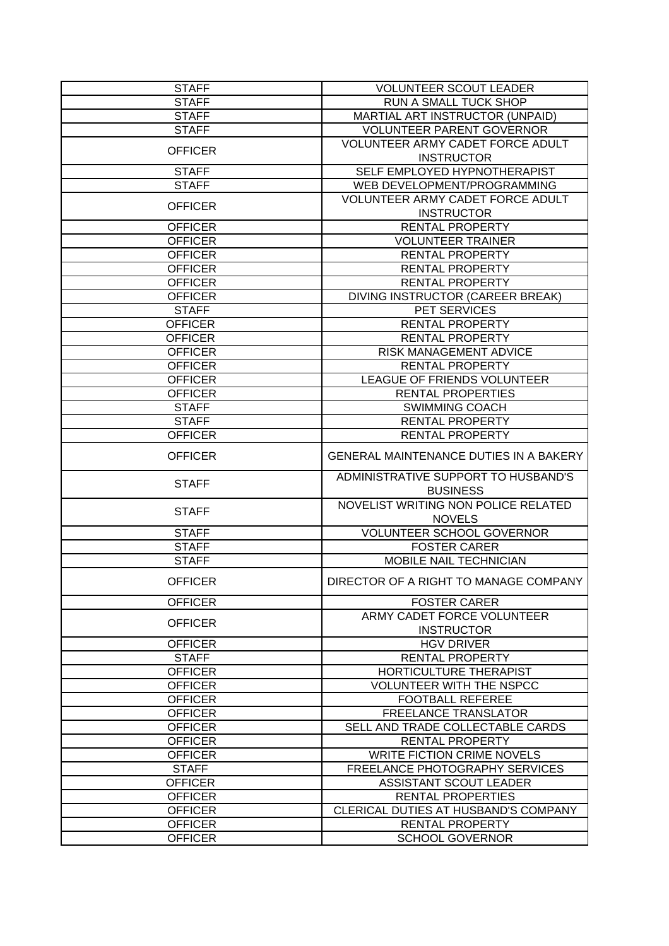| <b>STAFF</b>   | <b>VOLUNTEER SCOUT LEADER</b>                          |
|----------------|--------------------------------------------------------|
| <b>STAFF</b>   | RUN A SMALL TUCK SHOP                                  |
| <b>STAFF</b>   | MARTIAL ART INSTRUCTOR (UNPAID)                        |
| <b>STAFF</b>   | <b>VOLUNTEER PARENT GOVERNOR</b>                       |
| <b>OFFICER</b> | VOLUNTEER ARMY CADET FORCE ADULT                       |
|                | <b>INSTRUCTOR</b>                                      |
| <b>STAFF</b>   | SELF EMPLOYED HYPNOTHERAPIST                           |
| <b>STAFF</b>   | WEB DEVELOPMENT/PROGRAMMING                            |
| <b>OFFICER</b> | VOLUNTEER ARMY CADET FORCE ADULT                       |
|                | <b>INSTRUCTOR</b>                                      |
| <b>OFFICER</b> | RENTAL PROPERTY                                        |
| <b>OFFICER</b> | <b>VOLUNTEER TRAINER</b>                               |
| <b>OFFICER</b> | RENTAL PROPERTY                                        |
| <b>OFFICER</b> | <b>RENTAL PROPERTY</b>                                 |
| <b>OFFICER</b> | RENTAL PROPERTY                                        |
| <b>OFFICER</b> | DIVING INSTRUCTOR (CAREER BREAK)                       |
| <b>STAFF</b>   | PET SERVICES                                           |
| <b>OFFICER</b> | <b>RENTAL PROPERTY</b>                                 |
| <b>OFFICER</b> | RENTAL PROPERTY                                        |
| <b>OFFICER</b> | RISK MANAGEMENT ADVICE                                 |
| <b>OFFICER</b> | <b>RENTAL PROPERTY</b>                                 |
| <b>OFFICER</b> | LEAGUE OF FRIENDS VOLUNTEER                            |
| <b>OFFICER</b> | <b>RENTAL PROPERTIES</b>                               |
| <b>STAFF</b>   | <b>SWIMMING COACH</b>                                  |
| <b>STAFF</b>   | RENTAL PROPERTY                                        |
| <b>OFFICER</b> | RENTAL PROPERTY                                        |
| <b>OFFICER</b> | <b>GENERAL MAINTENANCE DUTIES IN A BAKERY</b>          |
| <b>STAFF</b>   | ADMINISTRATIVE SUPPORT TO HUSBAND'S<br><b>BUSINESS</b> |
| <b>STAFF</b>   | NOVELIST WRITING NON POLICE RELATED<br><b>NOVELS</b>   |
| <b>STAFF</b>   | <b>VOLUNTEER SCHOOL GOVERNOR</b>                       |
| <b>STAFF</b>   | <b>FOSTER CARER</b>                                    |
| <b>STAFF</b>   | MOBILE NAIL TECHNICIAN                                 |
| <b>OFFICER</b> | DIRECTOR OF A RIGHT TO MANAGE COMPANY                  |
| <b>OFFICER</b> | <b>FOSTER CARER</b>                                    |
| <b>OFFICER</b> | ARMY CADET FORCE VOLUNTEER<br><b>INSTRUCTOR</b>        |
| <b>OFFICER</b> | <b>HGV DRIVER</b>                                      |
| <b>STAFF</b>   | <b>RENTAL PROPERTY</b>                                 |
| <b>OFFICER</b> | HORTICULTURE THERAPIST                                 |
| <b>OFFICER</b> | <b>VOLUNTEER WITH THE NSPCC</b>                        |
| <b>OFFICER</b> | <b>FOOTBALL REFEREE</b>                                |
| <b>OFFICER</b> | <b>FREELANCE TRANSLATOR</b>                            |
| <b>OFFICER</b> | SELL AND TRADE COLLECTABLE CARDS                       |
| <b>OFFICER</b> | RENTAL PROPERTY                                        |
| <b>OFFICER</b> | <b>WRITE FICTION CRIME NOVELS</b>                      |
| <b>STAFF</b>   | FREELANCE PHOTOGRAPHY SERVICES                         |
| <b>OFFICER</b> | <b>ASSISTANT SCOUT LEADER</b>                          |
| <b>OFFICER</b> | RENTAL PROPERTIES                                      |
| <b>OFFICER</b> | CLERICAL DUTIES AT HUSBAND'S COMPANY                   |
| <b>OFFICER</b> | RENTAL PROPERTY                                        |
| <b>OFFICER</b> | <b>SCHOOL GOVERNOR</b>                                 |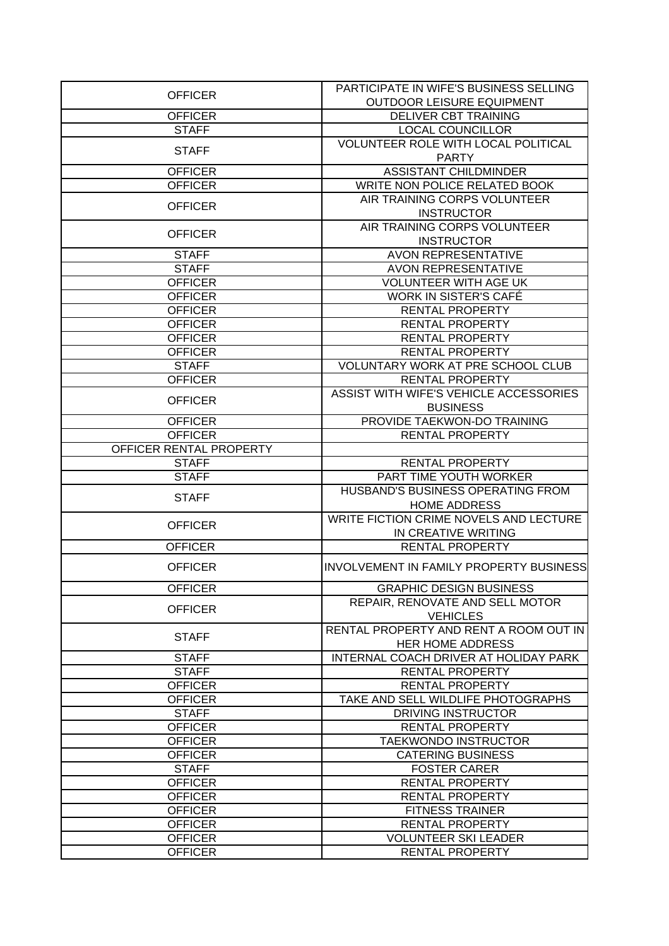|                                  | PARTICIPATE IN WIFE'S BUSINESS SELLING         |
|----------------------------------|------------------------------------------------|
| <b>OFFICER</b>                   | <b>OUTDOOR LEISURE EQUIPMENT</b>               |
| <b>OFFICER</b>                   | <b>DELIVER CBT TRAINING</b>                    |
| <b>STAFF</b>                     | <b>LOCAL COUNCILLOR</b>                        |
|                                  | <b>VOLUNTEER ROLE WITH LOCAL POLITICAL</b>     |
| <b>STAFF</b>                     | <b>PARTY</b>                                   |
| <b>OFFICER</b>                   | <b>ASSISTANT CHILDMINDER</b>                   |
| <b>OFFICER</b>                   | WRITE NON POLICE RELATED BOOK                  |
|                                  | AIR TRAINING CORPS VOLUNTEER                   |
| <b>OFFICER</b>                   | <b>INSTRUCTOR</b>                              |
|                                  | AIR TRAINING CORPS VOLUNTEER                   |
| <b>OFFICER</b>                   | <b>INSTRUCTOR</b>                              |
| <b>STAFF</b>                     | <b>AVON REPRESENTATIVE</b>                     |
| <b>STAFF</b>                     |                                                |
|                                  | <b>AVON REPRESENTATIVE</b>                     |
| <b>OFFICER</b>                   | VOLUNTEER WITH AGE UK                          |
| <b>OFFICER</b>                   | WORK IN SISTER'S CAFÉ                          |
| <b>OFFICER</b>                   | <b>RENTAL PROPERTY</b>                         |
| <b>OFFICER</b>                   | RENTAL PROPERTY                                |
| <b>OFFICER</b>                   | RENTAL PROPERTY                                |
| <b>OFFICER</b>                   | RENTAL PROPERTY                                |
| <b>STAFF</b>                     | VOLUNTARY WORK AT PRE SCHOOL CLUB              |
| <b>OFFICER</b>                   | RENTAL PROPERTY                                |
| <b>OFFICER</b>                   | ASSIST WITH WIFE'S VEHICLE ACCESSORIES         |
|                                  | <b>BUSINESS</b>                                |
| <b>OFFICER</b>                   | PROVIDE TAEKWON-DO TRAINING                    |
| <b>OFFICER</b>                   | RENTAL PROPERTY                                |
| OFFICER RENTAL PROPERTY          |                                                |
| <b>STAFF</b>                     | RENTAL PROPERTY                                |
| <b>STAFF</b>                     | PART TIME YOUTH WORKER                         |
| <b>STAFF</b>                     | HUSBAND'S BUSINESS OPERATING FROM              |
|                                  | <b>HOME ADDRESS</b>                            |
|                                  | WRITE FICTION CRIME NOVELS AND LECTURE         |
| <b>OFFICER</b>                   | IN CREATIVE WRITING                            |
| <b>OFFICER</b>                   | RENTAL PROPERTY                                |
| <b>OFFICER</b>                   | <b>INVOLVEMENT IN FAMILY PROPERTY BUSINESS</b> |
| <b>OFFICER</b>                   | <b>GRAPHIC DESIGN BUSINESS</b>                 |
|                                  |                                                |
|                                  | REPAIR, RENOVATE AND SELL MOTOR                |
| <b>OFFICER</b>                   | <b>VEHICLES</b>                                |
|                                  | RENTAL PROPERTY AND RENT A ROOM OUT IN         |
| <b>STAFF</b>                     | <b>HER HOME ADDRESS</b>                        |
|                                  |                                                |
| <b>STAFF</b>                     | INTERNAL COACH DRIVER AT HOLIDAY PARK          |
| <b>STAFF</b>                     | <b>RENTAL PROPERTY</b>                         |
| <b>OFFICER</b>                   | <b>RENTAL PROPERTY</b>                         |
| <b>OFFICER</b>                   | TAKE AND SELL WILDLIFE PHOTOGRAPHS             |
| <b>STAFF</b>                     | DRIVING INSTRUCTOR                             |
| <b>OFFICER</b>                   | RENTAL PROPERTY                                |
| <b>OFFICER</b>                   | <b>TAEKWONDO INSTRUCTOR</b>                    |
| <b>OFFICER</b>                   | <b>CATERING BUSINESS</b>                       |
| <b>STAFF</b>                     | <b>FOSTER CARER</b>                            |
| <b>OFFICER</b>                   | RENTAL PROPERTY                                |
| <b>OFFICER</b>                   | RENTAL PROPERTY                                |
| <b>OFFICER</b>                   | <b>FITNESS TRAINER</b>                         |
| <b>OFFICER</b>                   | <b>RENTAL PROPERTY</b>                         |
| <b>OFFICER</b><br><b>OFFICER</b> | <b>VOLUNTEER SKI LEADER</b><br>RENTAL PROPERTY |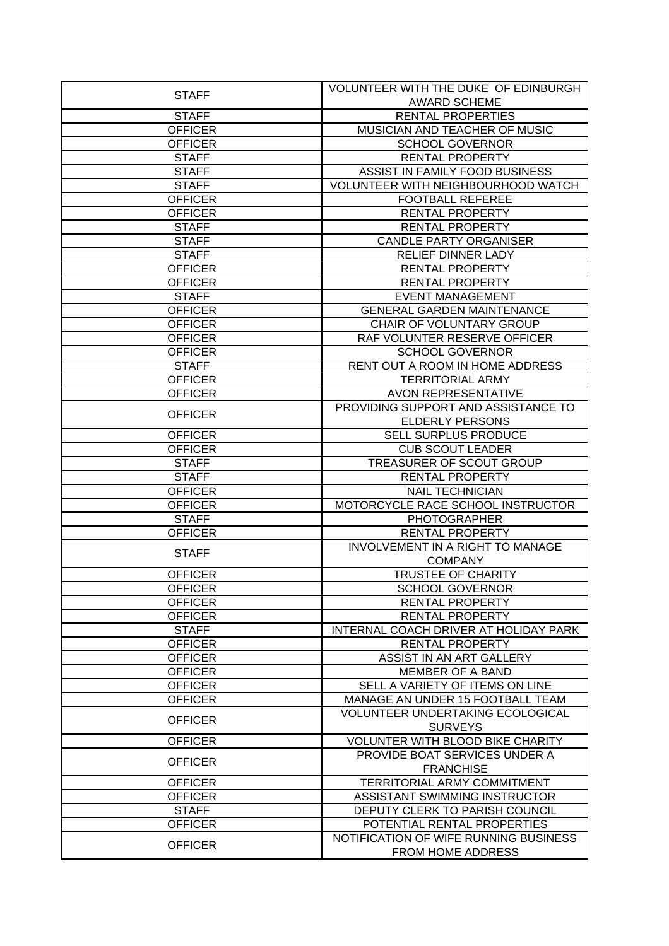|                | VOLUNTEER WITH THE DUKE OF EDINBURGH              |
|----------------|---------------------------------------------------|
| <b>STAFF</b>   | <b>AWARD SCHEME</b>                               |
| <b>STAFF</b>   | <b>RENTAL PROPERTIES</b>                          |
| <b>OFFICER</b> | MUSICIAN AND TEACHER OF MUSIC                     |
| <b>OFFICER</b> | <b>SCHOOL GOVERNOR</b>                            |
| <b>STAFF</b>   | RENTAL PROPERTY                                   |
| <b>STAFF</b>   | ASSIST IN FAMILY FOOD BUSINESS                    |
| <b>STAFF</b>   | VOLUNTEER WITH NEIGHBOURHOOD WATCH                |
| <b>OFFICER</b> | <b>FOOTBALL REFEREE</b>                           |
| <b>OFFICER</b> | <b>RENTAL PROPERTY</b>                            |
| <b>STAFF</b>   | <b>RENTAL PROPERTY</b>                            |
| <b>STAFF</b>   | <b>CANDLE PARTY ORGANISER</b>                     |
| <b>STAFF</b>   | RELIEF DINNER LADY                                |
| <b>OFFICER</b> | <b>RENTAL PROPERTY</b>                            |
| <b>OFFICER</b> | RENTAL PROPERTY                                   |
| <b>STAFF</b>   | <b>EVENT MANAGEMENT</b>                           |
| <b>OFFICER</b> | <b>GENERAL GARDEN MAINTENANCE</b>                 |
| <b>OFFICER</b> | <b>CHAIR OF VOLUNTARY GROUP</b>                   |
| <b>OFFICER</b> | RAF VOLUNTER RESERVE OFFICER                      |
| <b>OFFICER</b> | <b>SCHOOL GOVERNOR</b>                            |
| <b>STAFF</b>   | RENT OUT A ROOM IN HOME ADDRESS                   |
| <b>OFFICER</b> | <b>TERRITORIAL ARMY</b>                           |
| <b>OFFICER</b> | <b>AVON REPRESENTATIVE</b>                        |
|                | PROVIDING SUPPORT AND ASSISTANCE TO               |
| <b>OFFICER</b> | <b>ELDERLY PERSONS</b>                            |
| <b>OFFICER</b> | <b>SELL SURPLUS PRODUCE</b>                       |
| <b>OFFICER</b> | <b>CUB SCOUT LEADER</b>                           |
| <b>STAFF</b>   | TREASURER OF SCOUT GROUP                          |
|                |                                                   |
|                |                                                   |
| <b>STAFF</b>   | <b>RENTAL PROPERTY</b>                            |
| <b>OFFICER</b> | <b>NAIL TECHNICIAN</b>                            |
| <b>OFFICER</b> | MOTORCYCLE RACE SCHOOL INSTRUCTOR                 |
| <b>STAFF</b>   | <b>PHOTOGRAPHER</b>                               |
| <b>OFFICER</b> | <b>RENTAL PROPERTY</b>                            |
| <b>STAFF</b>   | <b>INVOLVEMENT IN A RIGHT TO MANAGE</b>           |
|                | <b>COMPANY</b>                                    |
| <b>OFFICER</b> | <b>TRUSTEE OF CHARITY</b>                         |
| <b>OFFICER</b> | <b>SCHOOL GOVERNOR</b>                            |
| <b>OFFICER</b> | <b>RENTAL PROPERTY</b>                            |
| <b>OFFICER</b> | <b>RENTAL PROPERTY</b>                            |
| <b>STAFF</b>   | INTERNAL COACH DRIVER AT HOLIDAY PARK             |
| <b>OFFICER</b> | <b>RENTAL PROPERTY</b>                            |
| <b>OFFICER</b> | ASSIST IN AN ART GALLERY                          |
| <b>OFFICER</b> | <b>MEMBER OF A BAND</b>                           |
| <b>OFFICER</b> | SELL A VARIETY OF ITEMS ON LINE                   |
| <b>OFFICER</b> | MANAGE AN UNDER 15 FOOTBALL TEAM                  |
| <b>OFFICER</b> | <b>VOLUNTEER UNDERTAKING ECOLOGICAL</b>           |
|                | <b>SURVEYS</b>                                    |
| <b>OFFICER</b> | <b>VOLUNTER WITH BLOOD BIKE CHARITY</b>           |
| <b>OFFICER</b> | PROVIDE BOAT SERVICES UNDER A<br><b>FRANCHISE</b> |
| <b>OFFICER</b> | <b>TERRITORIAL ARMY COMMITMENT</b>                |
| <b>OFFICER</b> | ASSISTANT SWIMMING INSTRUCTOR                     |
| <b>STAFF</b>   | DEPUTY CLERK TO PARISH COUNCIL                    |
| <b>OFFICER</b> | POTENTIAL RENTAL PROPERTIES                       |
| <b>OFFICER</b> | NOTIFICATION OF WIFE RUNNING BUSINESS             |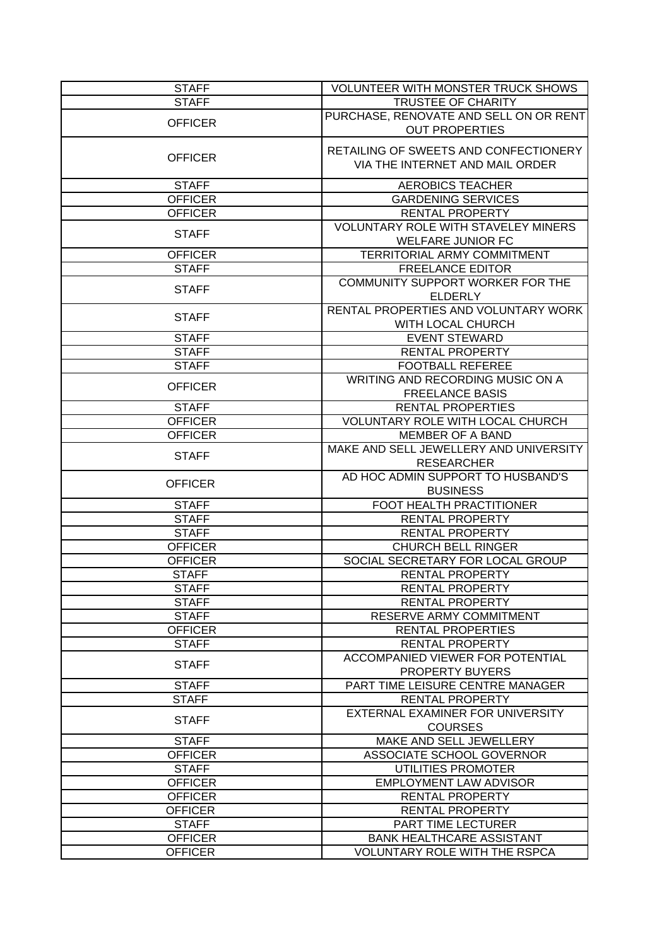| <b>STAFF</b>                   | <b>VOLUNTEER WITH MONSTER TRUCK SHOWS</b>                     |
|--------------------------------|---------------------------------------------------------------|
| <b>STAFF</b>                   | <b>TRUSTEE OF CHARITY</b>                                     |
|                                | PURCHASE, RENOVATE AND SELL ON OR RENT                        |
| <b>OFFICER</b>                 | <b>OUT PROPERTIES</b>                                         |
| <b>OFFICER</b>                 | RETAILING OF SWEETS AND CONFECTIONERY                         |
|                                | VIA THE INTERNET AND MAIL ORDER                               |
| <b>STAFF</b>                   | <b>AEROBICS TEACHER</b>                                       |
| <b>OFFICER</b>                 | <b>GARDENING SERVICES</b>                                     |
| <b>OFFICER</b>                 | <b>RENTAL PROPERTY</b>                                        |
|                                | <b>VOLUNTARY ROLE WITH STAVELEY MINERS</b>                    |
| <b>STAFF</b>                   | <b>WELFARE JUNIOR FC</b>                                      |
| <b>OFFICER</b>                 | TERRITORIAL ARMY COMMITMENT                                   |
| <b>STAFF</b>                   | <b>FREELANCE EDITOR</b>                                       |
| <b>STAFF</b>                   | COMMUNITY SUPPORT WORKER FOR THE<br><b>ELDERLY</b>            |
|                                | RENTAL PROPERTIES AND VOLUNTARY WORK                          |
| <b>STAFF</b>                   | WITH LOCAL CHURCH                                             |
| <b>STAFF</b>                   | <b>EVENT STEWARD</b>                                          |
| <b>STAFF</b>                   | <b>RENTAL PROPERTY</b>                                        |
| <b>STAFF</b>                   | <b>FOOTBALL REFEREE</b>                                       |
|                                | WRITING AND RECORDING MUSIC ON A                              |
| <b>OFFICER</b>                 | <b>FREELANCE BASIS</b>                                        |
| <b>STAFF</b>                   | <b>RENTAL PROPERTIES</b>                                      |
| <b>OFFICER</b>                 | <b>VOLUNTARY ROLE WITH LOCAL CHURCH</b>                       |
| <b>OFFICER</b>                 | <b>MEMBER OF A BAND</b>                                       |
|                                | MAKE AND SELL JEWELLERY AND UNIVERSITY                        |
| <b>STAFF</b>                   | <b>RESEARCHER</b>                                             |
| <b>OFFICER</b>                 | AD HOC ADMIN SUPPORT TO HUSBAND'S                             |
|                                | <b>BUSINESS</b>                                               |
| <b>STAFF</b>                   | FOOT HEALTH PRACTITIONER                                      |
| <b>STAFF</b>                   | <b>RENTAL PROPERTY</b>                                        |
| <b>STAFF</b><br><b>OFFICER</b> | <b>RENTAL PROPERTY</b>                                        |
| <b>OFFICER</b>                 | <b>CHURCH BELL RINGER</b><br>SOCIAL SECRETARY FOR LOCAL GROUP |
| <b>STAFF</b>                   | RENTAL PROPERTY                                               |
| <b>STAFF</b>                   | <b>RENTAL PROPERTY</b>                                        |
| <b>STAFF</b>                   | <b>RENTAL PROPERTY</b>                                        |
| <b>STAFF</b>                   | <b>RESERVE ARMY COMMITMENT</b>                                |
| <b>OFFICER</b>                 | RENTAL PROPERTIES                                             |
| <b>STAFF</b>                   | RENTAL PROPERTY                                               |
|                                | <b>ACCOMPANIED VIEWER FOR POTENTIAL</b>                       |
| <b>STAFF</b>                   | <b>PROPERTY BUYERS</b>                                        |
| <b>STAFF</b>                   | PART TIME LEISURE CENTRE MANAGER                              |
| <b>STAFF</b>                   | RENTAL PROPERTY                                               |
|                                | EXTERNAL EXAMINER FOR UNIVERSITY                              |
| <b>STAFF</b>                   | <b>COURSES</b>                                                |
| <b>STAFF</b>                   | MAKE AND SELL JEWELLERY                                       |
| <b>OFFICER</b>                 | ASSOCIATE SCHOOL GOVERNOR                                     |
| <b>STAFF</b>                   | UTILITIES PROMOTER                                            |
| <b>OFFICER</b>                 | <b>EMPLOYMENT LAW ADVISOR</b>                                 |
| <b>OFFICER</b>                 | RENTAL PROPERTY                                               |
| <b>OFFICER</b>                 | RENTAL PROPERTY                                               |
| <b>STAFF</b>                   | PART TIME LECTURER                                            |
| <b>OFFICER</b>                 | <b>BANK HEALTHCARE ASSISTANT</b>                              |
| <b>OFFICER</b>                 | <b>VOLUNTARY ROLE WITH THE RSPCA</b>                          |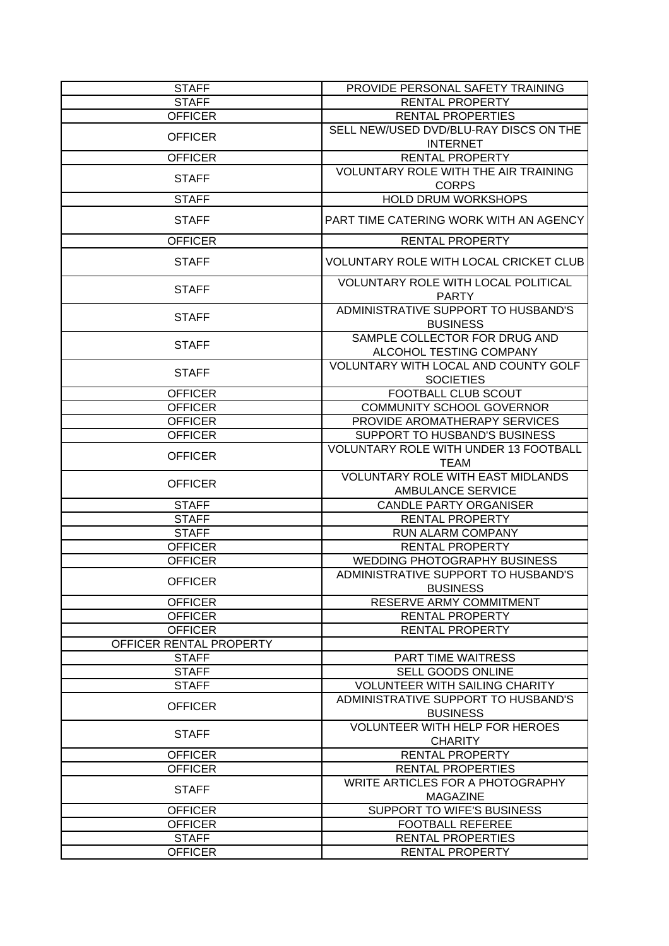| <b>STAFF</b>            | PROVIDE PERSONAL SAFETY TRAINING                                     |
|-------------------------|----------------------------------------------------------------------|
| <b>STAFF</b>            | <b>RENTAL PROPERTY</b>                                               |
| <b>OFFICER</b>          | <b>RENTAL PROPERTIES</b>                                             |
| <b>OFFICER</b>          | SELL NEW/USED DVD/BLU-RAY DISCS ON THE                               |
|                         | <b>INTERNET</b>                                                      |
| <b>OFFICER</b>          | <b>RENTAL PROPERTY</b>                                               |
| <b>STAFF</b>            | VOLUNTARY ROLE WITH THE AIR TRAINING<br><b>CORPS</b>                 |
| <b>STAFF</b>            | <b>HOLD DRUM WORKSHOPS</b>                                           |
| <b>STAFF</b>            | PART TIME CATERING WORK WITH AN AGENCY                               |
| <b>OFFICER</b>          | RENTAL PROPERTY                                                      |
| <b>STAFF</b>            | VOLUNTARY ROLE WITH LOCAL CRICKET CLUB                               |
| <b>STAFF</b>            | VOLUNTARY ROLE WITH LOCAL POLITICAL<br><b>PARTY</b>                  |
| <b>STAFF</b>            | ADMINISTRATIVE SUPPORT TO HUSBAND'S<br><b>BUSINESS</b>               |
| <b>STAFF</b>            | SAMPLE COLLECTOR FOR DRUG AND<br>ALCOHOL TESTING COMPANY             |
| <b>STAFF</b>            | VOLUNTARY WITH LOCAL AND COUNTY GOLF<br><b>SOCIETIES</b>             |
| <b>OFFICER</b>          | FOOTBALL CLUB SCOUT                                                  |
| <b>OFFICER</b>          | <b>COMMUNITY SCHOOL GOVERNOR</b>                                     |
| <b>OFFICER</b>          | PROVIDE AROMATHERAPY SERVICES                                        |
| <b>OFFICER</b>          | SUPPORT TO HUSBAND'S BUSINESS                                        |
| <b>OFFICER</b>          | <b>VOLUNTARY ROLE WITH UNDER 13 FOOTBALL</b><br><b>TEAM</b>          |
| <b>OFFICER</b>          | <b>VOLUNTARY ROLE WITH EAST MIDLANDS</b><br><b>AMBULANCE SERVICE</b> |
| <b>STAFF</b>            | <b>CANDLE PARTY ORGANISER</b>                                        |
| <b>STAFF</b>            | RENTAL PROPERTY                                                      |
| <b>STAFF</b>            | RUN ALARM COMPANY                                                    |
| <b>OFFICER</b>          | RENTAL PROPERTY                                                      |
| <b>OFFICER</b>          | WEDDING PHOTOGRAPHY BUSINESS                                         |
| <b>OFFICER</b>          | ADMINISTRATIVE SUPPORT TO HUSBAND'S<br><b>BUSINESS</b>               |
| <b>OFFICER</b>          | RESERVE ARMY COMMITMENT                                              |
| <b>OFFICER</b>          | <b>RENTAL PROPERTY</b>                                               |
| <b>OFFICER</b>          | <b>RENTAL PROPERTY</b>                                               |
| OFFICER RENTAL PROPERTY |                                                                      |
| <b>STAFF</b>            | PART TIME WAITRESS                                                   |
| <b>STAFF</b>            | SELL GOODS ONLINE                                                    |
| <b>STAFF</b>            | <b>VOLUNTEER WITH SAILING CHARITY</b>                                |
| <b>OFFICER</b>          | ADMINISTRATIVE SUPPORT TO HUSBAND'S<br><b>BUSINESS</b>               |
| <b>STAFF</b>            | <b>VOLUNTEER WITH HELP FOR HEROES</b><br><b>CHARITY</b>              |
| <b>OFFICER</b>          | <b>RENTAL PROPERTY</b>                                               |
| <b>OFFICER</b>          | <b>RENTAL PROPERTIES</b>                                             |
| <b>STAFF</b>            | WRITE ARTICLES FOR A PHOTOGRAPHY<br><b>MAGAZINE</b>                  |
| <b>OFFICER</b>          | SUPPORT TO WIFE'S BUSINESS                                           |
| <b>OFFICER</b>          | <b>FOOTBALL REFEREE</b>                                              |
| <b>STAFF</b>            | <b>RENTAL PROPERTIES</b>                                             |
| <b>OFFICER</b>          | RENTAL PROPERTY                                                      |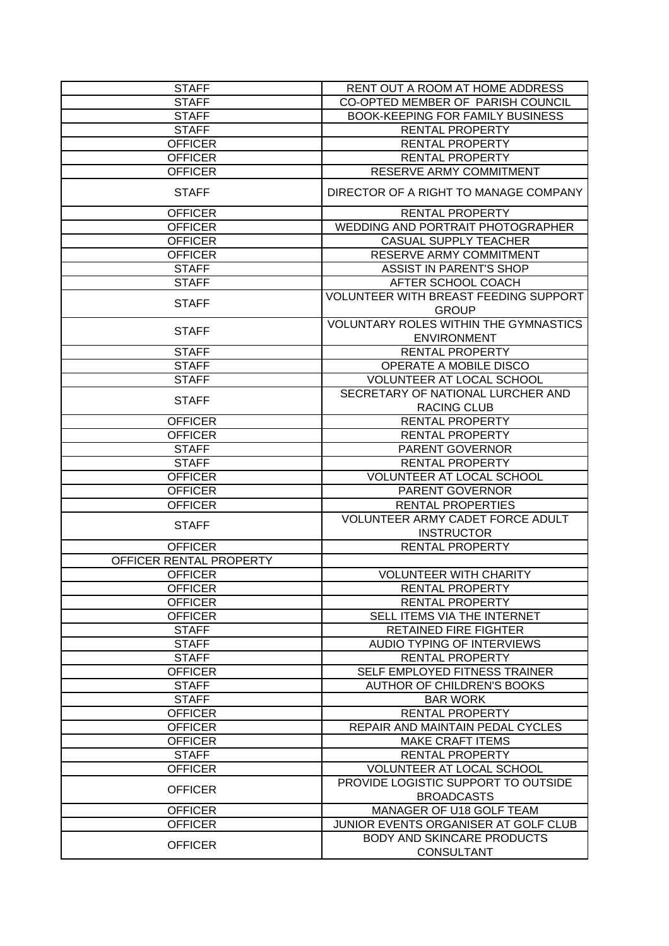| <b>STAFF</b>            | RENT OUT A ROOM AT HOME ADDRESS                         |
|-------------------------|---------------------------------------------------------|
| <b>STAFF</b>            | CO-OPTED MEMBER OF PARISH COUNCIL                       |
| <b>STAFF</b>            | <b>BOOK-KEEPING FOR FAMILY BUSINESS</b>                 |
| <b>STAFF</b>            | <b>RENTAL PROPERTY</b>                                  |
| <b>OFFICER</b>          | <b>RENTAL PROPERTY</b>                                  |
| <b>OFFICER</b>          | <b>RENTAL PROPERTY</b>                                  |
| <b>OFFICER</b>          | RESERVE ARMY COMMITMENT                                 |
| <b>STAFF</b>            | DIRECTOR OF A RIGHT TO MANAGE COMPANY                   |
| <b>OFFICER</b>          | <b>RENTAL PROPERTY</b>                                  |
| <b>OFFICER</b>          | <b>WEDDING AND PORTRAIT PHOTOGRAPHER</b>                |
| <b>OFFICER</b>          | <b>CASUAL SUPPLY TEACHER</b>                            |
| <b>OFFICER</b>          | RESERVE ARMY COMMITMENT                                 |
| <b>STAFF</b>            | <b>ASSIST IN PARENT'S SHOP</b>                          |
| <b>STAFF</b>            | AFTER SCHOOL COACH                                      |
| <b>STAFF</b>            | VOLUNTEER WITH BREAST FEEDING SUPPORT<br><b>GROUP</b>   |
| <b>STAFF</b>            | <b>VOLUNTARY ROLES WITHIN THE GYMNASTICS</b>            |
|                         | <b>ENVIRONMENT</b>                                      |
| <b>STAFF</b>            | RENTAL PROPERTY                                         |
| <b>STAFF</b>            | OPERATE A MOBILE DISCO                                  |
| <b>STAFF</b>            | VOLUNTEER AT LOCAL SCHOOL                               |
| <b>STAFF</b>            | SECRETARY OF NATIONAL LURCHER AND<br><b>RACING CLUB</b> |
| <b>OFFICER</b>          | RENTAL PROPERTY                                         |
| <b>OFFICER</b>          | <b>RENTAL PROPERTY</b>                                  |
| <b>STAFF</b>            | PARENT GOVERNOR                                         |
| <b>STAFF</b>            | <b>RENTAL PROPERTY</b>                                  |
| <b>OFFICER</b>          | <b>VOLUNTEER AT LOCAL SCHOOL</b>                        |
| <b>OFFICER</b>          | PARENT GOVERNOR                                         |
| <b>OFFICER</b>          | <b>RENTAL PROPERTIES</b>                                |
|                         | <b>VOLUNTEER ARMY CADET FORCE ADULT</b>                 |
| <b>STAFF</b>            | <b>INSTRUCTOR</b>                                       |
| <b>OFFICER</b>          | <b>RENTAL PROPERTY</b>                                  |
| OFFICER RENTAL PROPERTY |                                                         |
| <b>OFFICER</b>          | <b>VOLUNTEER WITH CHARITY</b>                           |
| <b>OFFICER</b>          | <b>RENTAL PROPERTY</b>                                  |
| <b>OFFICER</b>          | <b>RENTAL PROPERTY</b>                                  |
| <b>OFFICER</b>          | SELL ITEMS VIA THE INTERNET                             |
| <b>STAFF</b>            | <b>RETAINED FIRE FIGHTER</b>                            |
| <b>STAFF</b>            | <b>AUDIO TYPING OF INTERVIEWS</b>                       |
| <b>STAFF</b>            | <b>RENTAL PROPERTY</b>                                  |
| <b>OFFICER</b>          | SELF EMPLOYED FITNESS TRAINER                           |
| <b>STAFF</b>            | <b>AUTHOR OF CHILDREN'S BOOKS</b>                       |
| <b>STAFF</b>            | <b>BAR WORK</b>                                         |
| <b>OFFICER</b>          | RENTAL PROPERTY                                         |
| <b>OFFICER</b>          | REPAIR AND MAINTAIN PEDAL CYCLES                        |
| <b>OFFICER</b>          | <b>MAKE CRAFT ITEMS</b>                                 |
| <b>STAFF</b>            | <b>RENTAL PROPERTY</b>                                  |
| <b>OFFICER</b>          | VOLUNTEER AT LOCAL SCHOOL                               |
|                         | PROVIDE LOGISTIC SUPPORT TO OUTSIDE                     |
| <b>OFFICER</b>          | <b>BROADCASTS</b>                                       |
| <b>OFFICER</b>          | MANAGER OF U18 GOLF TEAM                                |
| <b>OFFICER</b>          | JUNIOR EVENTS ORGANISER AT GOLF CLUB                    |
|                         | <b>BODY AND SKINCARE PRODUCTS</b>                       |
| <b>OFFICER</b>          | <b>CONSULTANT</b>                                       |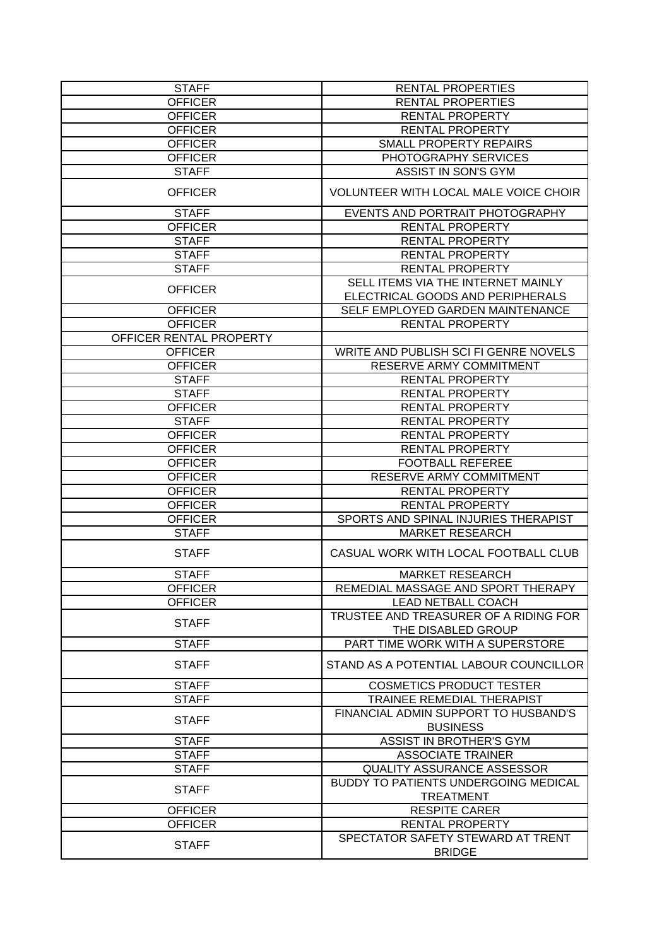| <b>STAFF</b>            | <b>RENTAL PROPERTIES</b>                                               |
|-------------------------|------------------------------------------------------------------------|
| <b>OFFICER</b>          | <b>RENTAL PROPERTIES</b>                                               |
| <b>OFFICER</b>          | RENTAL PROPERTY                                                        |
| <b>OFFICER</b>          | RENTAL PROPERTY                                                        |
| <b>OFFICER</b>          | <b>SMALL PROPERTY REPAIRS</b>                                          |
| <b>OFFICER</b>          | PHOTOGRAPHY SERVICES                                                   |
| <b>STAFF</b>            | <b>ASSIST IN SON'S GYM</b>                                             |
| <b>OFFICER</b>          | VOLUNTEER WITH LOCAL MALE VOICE CHOIR                                  |
| <b>STAFF</b>            | EVENTS AND PORTRAIT PHOTOGRAPHY                                        |
| <b>OFFICER</b>          | <b>RENTAL PROPERTY</b>                                                 |
| <b>STAFF</b>            | <b>RENTAL PROPERTY</b>                                                 |
| <b>STAFF</b>            | <b>RENTAL PROPERTY</b>                                                 |
| <b>STAFF</b>            | <b>RENTAL PROPERTY</b>                                                 |
| <b>OFFICER</b>          | SELL ITEMS VIA THE INTERNET MAINLY<br>ELECTRICAL GOODS AND PERIPHERALS |
| <b>OFFICER</b>          | SELF EMPLOYED GARDEN MAINTENANCE                                       |
| <b>OFFICER</b>          | <b>RENTAL PROPERTY</b>                                                 |
| OFFICER RENTAL PROPERTY |                                                                        |
| <b>OFFICER</b>          | WRITE AND PUBLISH SCI FI GENRE NOVELS                                  |
| <b>OFFICER</b>          | RESERVE ARMY COMMITMENT                                                |
| <b>STAFF</b>            | <b>RENTAL PROPERTY</b>                                                 |
| <b>STAFF</b>            | <b>RENTAL PROPERTY</b>                                                 |
| <b>OFFICER</b>          | <b>RENTAL PROPERTY</b>                                                 |
| <b>STAFF</b>            | <b>RENTAL PROPERTY</b>                                                 |
| <b>OFFICER</b>          | <b>RENTAL PROPERTY</b>                                                 |
| <b>OFFICER</b>          | <b>RENTAL PROPERTY</b>                                                 |
| <b>OFFICER</b>          | <b>FOOTBALL REFEREE</b>                                                |
| <b>OFFICER</b>          | RESERVE ARMY COMMITMENT                                                |
| <b>OFFICER</b>          | <b>RENTAL PROPERTY</b>                                                 |
| <b>OFFICER</b>          | <b>RENTAL PROPERTY</b>                                                 |
| <b>OFFICER</b>          | SPORTS AND SPINAL INJURIES THERAPIST                                   |
| <b>STAFF</b>            | <b>MARKET RESEARCH</b>                                                 |
| <b>STAFF</b>            | CASUAL WORK WITH LOCAL FOOTBALL CLUB                                   |
| <b>STAFF</b>            | <b>MARKET RESEARCH</b>                                                 |
| <b>OFFICER</b>          | REMEDIAL MASSAGE AND SPORT THERAPY                                     |
| <b>OFFICER</b>          | <b>LEAD NETBALL COACH</b>                                              |
|                         | TRUSTEE AND TREASURER OF A RIDING FOR                                  |
| <b>STAFF</b>            | THE DISABLED GROUP                                                     |
| <b>STAFF</b>            | PART TIME WORK WITH A SUPERSTORE                                       |
| <b>STAFF</b>            | STAND AS A POTENTIAL LABOUR COUNCILLOR                                 |
| <b>STAFF</b>            | <b>COSMETICS PRODUCT TESTER</b>                                        |
| <b>STAFF</b>            | <b>TRAINEE REMEDIAL THERAPIST</b>                                      |
| <b>STAFF</b>            | FINANCIAL ADMIN SUPPORT TO HUSBAND'S<br><b>BUSINESS</b>                |
| <b>STAFF</b>            | ASSIST IN BROTHER'S GYM                                                |
| <b>STAFF</b>            | <b>ASSOCIATE TRAINER</b>                                               |
| <b>STAFF</b>            | <b>QUALITY ASSURANCE ASSESSOR</b>                                      |
| <b>STAFF</b>            | <b>BUDDY TO PATIENTS UNDERGOING MEDICAL</b><br><b>TREATMENT</b>        |
| <b>OFFICER</b>          | <b>RESPITE CARER</b>                                                   |
| <b>OFFICER</b>          | RENTAL PROPERTY                                                        |
|                         | SPECTATOR SAFETY STEWARD AT TRENT                                      |
| <b>STAFF</b>            | <b>BRIDGE</b>                                                          |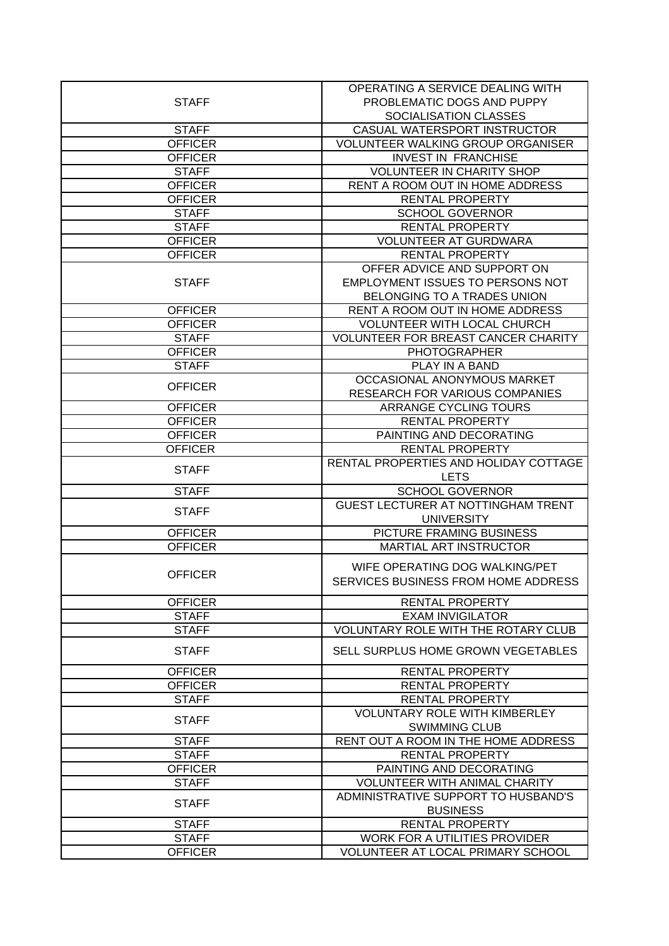|                                  | OPERATING A SERVICE DEALING WITH           |
|----------------------------------|--------------------------------------------|
| <b>STAFF</b>                     | PROBLEMATIC DOGS AND PUPPY                 |
|                                  | SOCIALISATION CLASSES                      |
| <b>STAFF</b>                     | CASUAL WATERSPORT INSTRUCTOR               |
| <b>OFFICER</b>                   | <b>VOLUNTEER WALKING GROUP ORGANISER</b>   |
| <b>OFFICER</b>                   | <b>INVEST IN FRANCHISE</b>                 |
| <b>STAFF</b>                     | <b>VOLUNTEER IN CHARITY SHOP</b>           |
| <b>OFFICER</b>                   | RENT A ROOM OUT IN HOME ADDRESS            |
| <b>OFFICER</b>                   | <b>RENTAL PROPERTY</b>                     |
| <b>STAFF</b>                     | <b>SCHOOL GOVERNOR</b>                     |
| <b>STAFF</b>                     | <b>RENTAL PROPERTY</b>                     |
| <b>OFFICER</b>                   | <b>VOLUNTEER AT GURDWARA</b>               |
| <b>OFFICER</b>                   | <b>RENTAL PROPERTY</b>                     |
|                                  | OFFER ADVICE AND SUPPORT ON                |
| <b>STAFF</b>                     | EMPLOYMENT ISSUES TO PERSONS NOT           |
|                                  | BELONGING TO A TRADES UNION                |
| <b>OFFICER</b>                   | RENT A ROOM OUT IN HOME ADDRESS            |
| <b>OFFICER</b>                   | <b>VOLUNTEER WITH LOCAL CHURCH</b>         |
|                                  | <b>VOLUNTEER FOR BREAST CANCER CHARITY</b> |
| <b>STAFF</b>                     | <b>PHOTOGRAPHER</b>                        |
| <b>OFFICER</b><br><b>STAFF</b>   | PLAY IN A BAND                             |
|                                  | OCCASIONAL ANONYMOUS MARKET                |
| <b>OFFICER</b>                   | RESEARCH FOR VARIOUS COMPANIES             |
| <b>OFFICER</b>                   | ARRANGE CYCLING TOURS                      |
|                                  | RENTAL PROPERTY                            |
| <b>OFFICER</b><br><b>OFFICER</b> | PAINTING AND DECORATING                    |
| <b>OFFICER</b>                   | <b>RENTAL PROPERTY</b>                     |
|                                  | RENTAL PROPERTIES AND HOLIDAY COTTAGE      |
| <b>STAFF</b>                     | <b>LETS</b>                                |
| <b>STAFF</b>                     | <b>SCHOOL GOVERNOR</b>                     |
|                                  | GUEST LECTURER AT NOTTINGHAM TRENT         |
| <b>STAFF</b>                     | <b>UNIVERSITY</b>                          |
| <b>OFFICER</b>                   | PICTURE FRAMING BUSINESS                   |
| <b>OFFICER</b>                   | <b>MARTIAL ART INSTRUCTOR</b>              |
|                                  |                                            |
| <b>OFFICER</b>                   | WIFE OPERATING DOG WALKING/PET             |
|                                  | SERVICES BUSINESS FROM HOME ADDRESS        |
| <b>OFFICER</b>                   | <b>RENTAL PROPERTY</b>                     |
| <b>STAFF</b>                     | <b>EXAM INVIGILATOR</b>                    |
| <b>STAFF</b>                     | <b>VOLUNTARY ROLE WITH THE ROTARY CLUB</b> |
| <b>STAFF</b>                     | SELL SURPLUS HOME GROWN VEGETABLES         |
|                                  |                                            |
| <b>OFFICER</b>                   | <b>RENTAL PROPERTY</b>                     |
| <b>OFFICER</b>                   | <b>RENTAL PROPERTY</b>                     |
| <b>STAFF</b>                     | RENTAL PROPERTY                            |
| <b>STAFF</b>                     | <b>VOLUNTARY ROLE WITH KIMBERLEY</b>       |
|                                  | <b>SWIMMING CLUB</b>                       |
| <b>STAFF</b>                     | RENT OUT A ROOM IN THE HOME ADDRESS        |
| <b>STAFF</b>                     | RENTAL PROPERTY                            |
| <b>OFFICER</b>                   | PAINTING AND DECORATING                    |
| <b>STAFF</b>                     | <b>VOLUNTEER WITH ANIMAL CHARITY</b>       |
| <b>STAFF</b>                     | ADMINISTRATIVE SUPPORT TO HUSBAND'S        |
|                                  | <b>BUSINESS</b>                            |
| <b>STAFF</b>                     | <b>RENTAL PROPERTY</b>                     |
| <b>STAFF</b>                     | WORK FOR A UTILITIES PROVIDER              |
| <b>OFFICER</b>                   | VOLUNTEER AT LOCAL PRIMARY SCHOOL          |